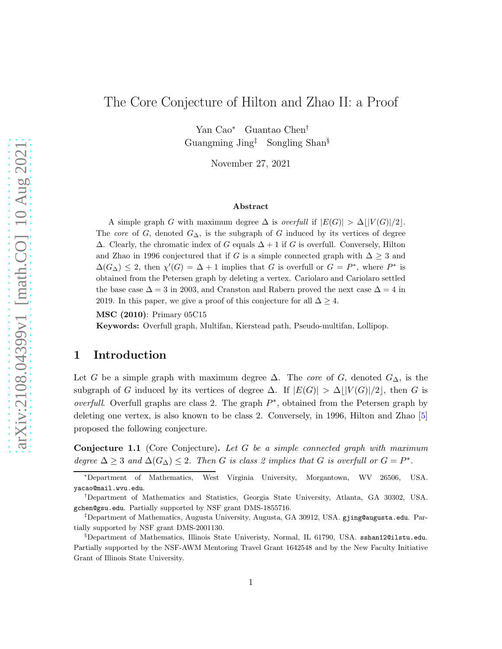# The Core Conjecture of Hilton and Zhao II: a Proof

Yan Cao<sup>∗</sup> Guantao Chen† Guangming Jing‡ Songling Shan§

November 27, 2021

#### Abstract

A simple graph G with maximum degree  $\Delta$  is *overfull* if  $|E(G)| > \Delta |V(G)|/2$ . The core of G, denoted  $G_{\Delta}$ , is the subgraph of G induced by its vertices of degree  $\Delta$ . Clearly, the chromatic index of G equals  $\Delta + 1$  if G is overfull. Conversely, Hilton and Zhao in 1996 conjectured that if G is a simple connected graph with  $\Delta \geq 3$  and  $\Delta(G_{\Delta}) \leq 2$ , then  $\chi'(G) = \Delta + 1$  implies that G is overfull or  $G = P^*$ , where  $P^*$  is obtained from the Petersen graph by deleting a vertex. Cariolaro and Cariolaro settled the base case  $\Delta = 3$  in 2003, and Cranston and Rabern proved the next case  $\Delta = 4$  in 2019. In this paper, we give a proof of this conjecture for all  $\Delta \geq 4$ .

MSC (2010): Primary 05C15

Keywords: Overfull graph, Multifan, Kierstead path, Pseudo-multifan, Lollipop.

### 1 Introduction

Let G be a simple graph with maximum degree  $\Delta$ . The *core* of G, denoted  $G_{\Delta}$ , is the subgraph of G induced by its vertices of degree  $\Delta$ . If  $|E(G)| > \Delta \, |V(G)|/2$ , then G is overfull. Overfull graphs are class 2. The graph  $P^*$ , obtained from the Petersen graph by deleting one vertex, is also known to be class 2. Conversely, in 1996, Hilton and Zhao [\[5\]](#page-26-0) proposed the following conjecture.

<span id="page-0-0"></span>**Conjecture 1.1** (Core Conjecture). Let G be a simple connected graph with maximum degree  $\Delta \geq 3$  and  $\Delta(G_{\Delta}) \leq 2$ . Then G is class 2 implies that G is overfull or  $G = P^*$ .

<sup>∗</sup>Department of Mathematics, West Virginia University, Morgantown, WV 26506, USA. yacao@mail.wvu.edu.

<sup>†</sup>Department of Mathematics and Statistics, Georgia State University, Atlanta, GA 30302, USA. gchen@gsu.edu. Partially supported by NSF grant DMS-1855716.

<sup>‡</sup>Department of Mathematics, Augusta University, Augusta, GA 30912, USA. gjing@augusta.edu. Partially supported by NSF grant DMS-2001130.

<sup>§</sup>Department of Mathematics, Illinois State Univeristy, Normal, IL 61790, USA. sshan12@ilstu.edu. Partially supported by the NSF-AWM Mentoring Travel Grant 1642548 and by the New Faculty Initiative Grant of Illinois State University.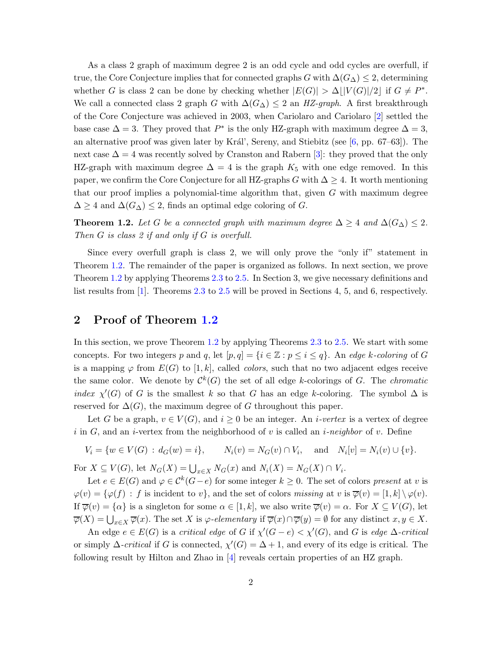As a class 2 graph of maximum degree 2 is an odd cycle and odd cycles are overfull, if true, the Core Conjecture implies that for connected graphs G with  $\Delta(G_{\Delta}) \leq 2$ , determining whether G is class 2 can be done by checking whether  $|E(G)| > \Delta \lfloor |V(G)|/2 \rfloor$  if  $G \neq P^*$ . We call a connected class 2 graph G with  $\Delta(G_{\Delta}) \leq 2$  an HZ-graph. A first breakthrough of the Core Conjecture was achieved in 2003, when Cariolaro and Cariolaro [\[2\]](#page-26-1) settled the base case  $\Delta = 3$ . They proved that  $P^*$  is the only HZ-graph with maximum degree  $\Delta = 3$ , an alternative proof was given later by Král', Sereny, and Stiebitz (see  $[6, pp. 67–63]$ ). The next case  $\Delta = 4$  was recently solved by Cranston and Rabern [\[3\]](#page-26-3): they proved that the only HZ-graph with maximum degree  $\Delta = 4$  is the graph  $K_5$  with one edge removed. In this paper, we confirm the Core Conjecture for all HZ-graphs G with  $\Delta \geq 4$ . It worth mentioning that our proof implies a polynomial-time algorithm that, given  $G$  with maximum degree  $\Delta \geq 4$  and  $\Delta(G_{\Delta}) \leq 2$ , finds an optimal edge coloring of G.

<span id="page-1-0"></span>**Theorem 1.2.** Let G be a connected graph with maximum degree  $\Delta \geq 4$  and  $\Delta(G_{\Delta}) \leq 2$ . Then G is class 2 if and only if G is overfull.

Since every overfull graph is class 2, we will only prove the "only if" statement in Theorem [1.2.](#page-1-0) The remainder of the paper is organized as follows. In next section, we prove Theorem [1.2](#page-1-0) by applying Theorems [2.3](#page-2-0) to [2.5.](#page-2-1) In Section 3, we give necessary definitions and list results from [\[1\]](#page-26-4). Theorems [2.3](#page-2-0) to [2.5](#page-2-1) will be proved in Sections 4, 5, and 6, respectively.

# 2 Proof of Theorem [1.2](#page-1-0)

In this section, we prove Theorem [1.2](#page-1-0) by applying Theorems [2.3](#page-2-0) to [2.5.](#page-2-1) We start with some concepts. For two integers p and q, let  $[p, q] = \{i \in \mathbb{Z} : p \leq i \leq q\}$ . An edge k-coloring of G is a mapping  $\varphi$  from  $E(G)$  to [1, k], called *colors*, such that no two adjacent edges receive the same color. We denote by  $\mathcal{C}^k(G)$  the set of all edge k-colorings of G. The *chromatic* index  $\chi'(G)$  of G is the smallest k so that G has an edge k-coloring. The symbol  $\Delta$  is reserved for  $\Delta(G)$ , the maximum degree of G throughout this paper.

Let G be a graph,  $v \in V(G)$ , and  $i \geq 0$  be an integer. An *i*-vertex is a vertex of degree i in G, and an i-vertex from the neighborhood of v is called an i-neighbor of v. Define

$$
V_i = \{ w \in V(G) : d_G(w) = i \}, \qquad N_i(v) = N_G(v) \cap V_i, \quad \text{and} \quad N_i[v] = N_i(v) \cup \{ v \}.
$$

For  $X \subseteq V(G)$ , let  $N_G(X) = \bigcup_{x \in X} N_G(x)$  and  $N_i(X) = N_G(X) \cap V_i$ .

Let  $e \in E(G)$  and  $\varphi \in C^k(G-e)$  for some integer  $k \geq 0$ . The set of colors present at v is  $\varphi(v) = {\varphi(f) : f \text{ is incident to } v}$ , and the set of colors missing at v is  $\overline{\varphi}(v) = [1, k] \setminus \varphi(v)$ . If  $\overline{\varphi}(v) = {\alpha}$  is a singleton for some  $\alpha \in [1, k]$ , we also write  $\overline{\varphi}(v) = \alpha$ . For  $X \subseteq V(G)$ , let  $\overline{\varphi}(X) = \bigcup_{x \in X} \overline{\varphi}(x)$ . The set X is  $\varphi$ -elementary if  $\overline{\varphi}(x) \cap \overline{\varphi}(y) = \emptyset$  for any distinct  $x, y \in X$ .

An edge  $e \in E(G)$  is a critical edge of G if  $\chi'(G - e) < \chi'(G)$ , and G is edge  $\Delta$ -critical or simply  $\Delta$ -critical if G is connected,  $\chi'(G) = \Delta + 1$ , and every of its edge is critical. The following result by Hilton and Zhao in [\[4\]](#page-26-5) reveals certain properties of an HZ graph.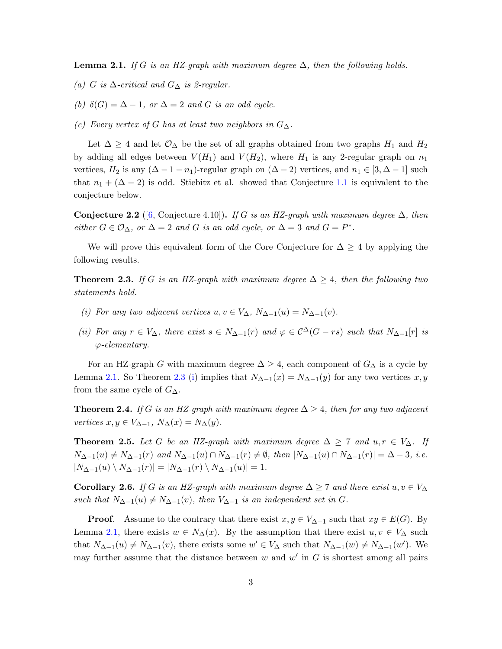<span id="page-2-2"></span>**Lemma 2.1.** If G is an HZ-graph with maximum degree  $\Delta$ , then the following holds.

- (a) G is  $\Delta$ -critical and  $G_{\Delta}$  is 2-regular.
- (b)  $\delta(G) = \Delta 1$ , or  $\Delta = 2$  and G is an odd cycle.
- (c) Every vertex of G has at least two neighbors in  $G_{\Delta}$ .

Let  $\Delta \geq 4$  and let  $\mathcal{O}_{\Delta}$  be the set of all graphs obtained from two graphs  $H_1$  and  $H_2$ by adding all edges between  $V(H_1)$  and  $V(H_2)$ , where  $H_1$  is any 2-regular graph on  $n_1$ vertices,  $H_2$  is any  $(\Delta - 1 - n_1)$ -regular graph on  $(\Delta - 2)$  vertices, and  $n_1 \in [3, \Delta - 1]$  such that  $n_1 + (\Delta - 2)$  is odd. Stiebitz et al. showed that Conjecture [1.1](#page-0-0) is equivalent to the conjecture below.

<span id="page-2-5"></span>**Conjecture 2.2** ([\[6,](#page-26-2) Conjecture 4.10]). If G is an HZ-graph with maximum degree  $\Delta$ , then either  $G \in \mathcal{O}_\Delta$ , or  $\Delta = 2$  and G is an odd cycle, or  $\Delta = 3$  and  $G = P^*$ .

We will prove this equivalent form of the Core Conjecture for  $\Delta \geq 4$  by applying the following results.

<span id="page-2-3"></span><span id="page-2-0"></span>**Theorem 2.3.** If G is an HZ-graph with maximum degree  $\Delta \geq 4$ , then the following two statements hold.

- <span id="page-2-6"></span>(i) For any two adjacent vertices  $u, v \in V_{\Delta}$ ,  $N_{\Delta-1}(u) = N_{\Delta-1}(v)$ .
- (ii) For any  $r \in V_{\Delta}$ , there exist  $s \in N_{\Delta-1}(r)$  and  $\varphi \in C^{\Delta}(G rs)$  such that  $N_{\Delta-1}[r]$  is  $\varphi$ -elementary.

For an HZ-graph G with maximum degree  $\Delta \geq 4$ , each component of  $G_{\Delta}$  is a cycle by Lemma [2.1.](#page-2-2) So Theorem [2.3](#page-2-0) [\(i\)](#page-2-3) implies that  $N_{\Delta-1}(x) = N_{\Delta-1}(y)$  for any two vertices x, y from the same cycle of  $G_{\Delta}$ .

<span id="page-2-4"></span>**Theorem 2.4.** If G is an HZ-graph with maximum degree  $\Delta \geq 4$ , then for any two adjacent vertices  $x, y \in V_{\Delta-1}, N_{\Delta}(x) = N_{\Delta}(y)$ .

<span id="page-2-1"></span>**Theorem 2.5.** Let G be an HZ-graph with maximum degree  $\Delta \geq 7$  and  $u, r \in V_{\Delta}$ . If  $N_{\Delta-1}(u) \neq N_{\Delta-1}(r)$  and  $N_{\Delta-1}(u) \cap N_{\Delta-1}(r) \neq \emptyset$ , then  $|N_{\Delta-1}(u) \cap N_{\Delta-1}(r)| = \Delta - 3$ , i.e.  $|N_{\Delta-1}(u) \setminus N_{\Delta-1}(r)| = |N_{\Delta-1}(r) \setminus N_{\Delta-1}(u)| = 1.$ 

<span id="page-2-7"></span>Corollary 2.6. If G is an HZ-graph with maximum degree  $\Delta \geq 7$  and there exist  $u, v \in V_{\Delta}$ such that  $N_{\Delta-1}(u) \neq N_{\Delta-1}(v)$ , then  $V_{\Delta-1}$  is an independent set in G.

**Proof.** Assume to the contrary that there exist  $x, y \in V_{\Delta-1}$  such that  $xy \in E(G)$ . By Lemma [2.1,](#page-2-2) there exists  $w \in N_{\Delta}(x)$ . By the assumption that there exist  $u, v \in V_{\Delta}$  such that  $N_{\Delta-1}(u) \neq N_{\Delta-1}(v)$ , there exists some  $w' \in V_{\Delta}$  such that  $N_{\Delta-1}(w) \neq N_{\Delta-1}(w')$ . We may further assume that the distance between  $w$  and  $w'$  in  $G$  is shortest among all pairs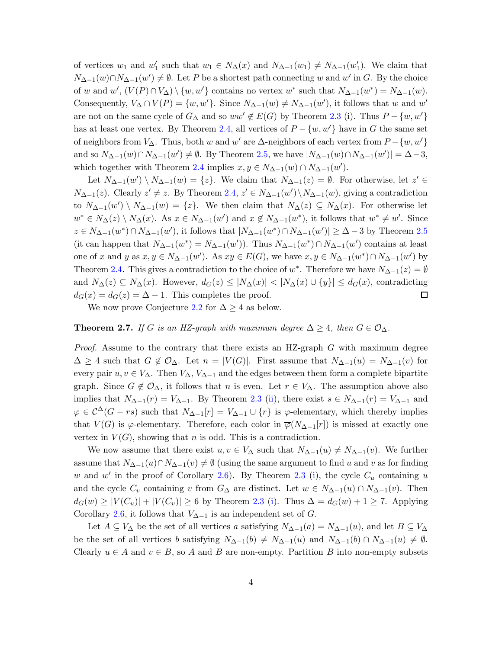of vertices  $w_1$  and  $w'_1$  such that  $w_1 \in N_\Delta(x)$  and  $N_{\Delta-1}(w_1) \neq N_{\Delta-1}(w'_1)$ . We claim that  $N_{\Delta-1}(w) \cap N_{\Delta-1}(w') \neq \emptyset$ . Let P be a shortest path connecting w and w' in G. By the choice of w and  $w'$ ,  $(V(P) \cap V_{\Delta}) \setminus \{w, w'\}$  contains no vertex  $w^*$  such that  $N_{\Delta-1}(w^*) = N_{\Delta-1}(w)$ . Consequently,  $V_{\Delta} \cap V(P) = \{w, w'\}$ . Since  $N_{\Delta-1}(w) \neq N_{\Delta-1}(w')$ , it follows that w and w' are not on the same cycle of  $G_{\Delta}$  and so  $ww' \notin E(G)$  by Theorem [2.3](#page-2-0) (i). Thus  $P - \{w, w'\}$ has at least one vertex. By Theorem [2.4,](#page-2-4) all vertices of  $P - \{w, w'\}$  have in G the same set of neighbors from  $V_{\Delta}$ . Thus, both w and w' are  $\Delta$ -neighbors of each vertex from  $P - \{w, w'\}$ and so  $N_{\Delta-1}(w) \cap N_{\Delta-1}(w') \neq \emptyset$ . By Theorem [2.5,](#page-2-1) we have  $|N_{\Delta-1}(w) \cap N_{\Delta-1}(w')| = \Delta - 3$ , which together with Theorem [2.4](#page-2-4) implies  $x, y \in N_{\Delta-1}(w) \cap N_{\Delta-1}(w')$ .

Let  $N_{\Delta-1}(w')\setminus N_{\Delta-1}(w) = \{z\}$ . We claim that  $N_{\Delta-1}(z) = \emptyset$ . For otherwise, let  $z' \in$  $N_{\Delta-1}(z)$ . Clearly  $z' \neq z$ . By Theorem [2.4,](#page-2-4)  $z' \in N_{\Delta-1}(w') \setminus N_{\Delta-1}(w)$ , giving a contradiction to  $N_{\Delta-1}(w')\setminus N_{\Delta-1}(w) = \{z\}.$  We then claim that  $N_{\Delta}(z) \subseteq N_{\Delta}(x)$ . For otherwise let  $w^* \in N_\Delta(z) \setminus N_\Delta(x)$ . As  $x \in N_{\Delta-1}(w')$  and  $x \notin N_{\Delta-1}(w^*)$ , it follows that  $w^* \neq w'$ . Since  $z \in N_{\Delta-1}(w^*) \cap N_{\Delta-1}(w')$ , it follows that  $|N_{\Delta-1}(w^*) \cap N_{\Delta-1}(w')| \geq \Delta - 3$  by Theorem [2.5](#page-2-1) (it can happen that  $N_{\Delta-1}(w^*) = N_{\Delta-1}(w')$ ). Thus  $N_{\Delta-1}(w^*) \cap N_{\Delta-1}(w')$  contains at least one of x and y as  $x, y \in N_{\Delta-1}(w')$ . As  $xy \in E(G)$ , we have  $x, y \in N_{\Delta-1}(w^*) \cap N_{\Delta-1}(w')$  by Theorem [2.4.](#page-2-4) This gives a contradiction to the choice of  $w^*$ . Therefore we have  $N_{\Delta-1}(z) = \emptyset$ and  $N_{\Delta}(z) \subseteq N_{\Delta}(x)$ . However,  $d_G(z) \leq |N_{\Delta}(x)| < |N_{\Delta}(x) \cup \{y\}| \leq d_G(x)$ , contradicting  $d_G(x) = d_G(z) = \Delta - 1$ . This completes the proof.  $\Box$ 

We now prove Conjecture [2.2](#page-2-5) for  $\Delta \geq 4$  as below.

#### **Theorem 2.7.** If G is an HZ-graph with maximum degree  $\Delta \geq 4$ , then  $G \in \mathcal{O}_{\Delta}$ .

*Proof.* Assume to the contrary that there exists an HZ-graph  $G$  with maximum degree  $\Delta \geq 4$  such that  $G \notin \mathcal{O}_{\Delta}$ . Let  $n = |V(G)|$ . First assume that  $N_{\Delta-1}(u) = N_{\Delta-1}(v)$  for every pair  $u, v \in V_{\Delta}$ . Then  $V_{\Delta}$ ,  $V_{\Delta-1}$  and the edges between them form a complete bipartite graph. Since  $G \notin \mathcal{O}_{\Delta}$ , it follows that n is even. Let  $r \in V_{\Delta}$ . The assumption above also implies that  $N_{\Delta-1}(r) = V_{\Delta-1}$ . By Theorem [2.3](#page-2-0) [\(ii\)](#page-2-6), there exist  $s \in N_{\Delta-1}(r) = V_{\Delta-1}$  and  $\varphi \in C^{\Delta}(G - rs)$  such that  $N_{\Delta-1}[r] = V_{\Delta-1} \cup \{r\}$  is  $\varphi$ -elementary, which thereby implies that  $V(G)$  is  $\varphi$ -elementary. Therefore, each color in  $\overline{\varphi}(N_{\Delta-1}[r])$  is missed at exactly one vertex in  $V(G)$ , showing that n is odd. This is a contradiction.

We now assume that there exist  $u, v \in V_{\Delta}$  such that  $N_{\Delta-1}(u) \neq N_{\Delta-1}(v)$ . We further assume that  $N_{\Delta-1}(u) \cap N_{\Delta-1}(v) \neq \emptyset$  (using the same argument to find u and v as for finding w and w' in the proof of Corollary [2.6\)](#page-2-7). By Theorem [2.3](#page-2-0) [\(i\)](#page-2-3), the cycle  $C_u$  containing u and the cycle  $C_v$  containing v from  $G_{\Delta}$  are distinct. Let  $w \in N_{\Delta-1}(u) \cap N_{\Delta-1}(v)$ . Then  $d_G(w) \geq |V(C_u)| + |V(C_v)| \geq 6$  by Theorem [2.3](#page-2-0) [\(i\)](#page-2-3). Thus  $\Delta = d_G(w) + 1 \geq 7$ . Applying Corollary [2.6,](#page-2-7) it follows that  $V_{\Delta-1}$  is an independent set of G.

Let  $A \subseteq V_{\Delta}$  be the set of all vertices a satisfying  $N_{\Delta-1}(a) = N_{\Delta-1}(u)$ , and let  $B \subseteq V_{\Delta}$ be the set of all vertices b satisfying  $N_{\Delta-1}(b) \neq N_{\Delta-1}(u)$  and  $N_{\Delta-1}(b) \cap N_{\Delta-1}(u) \neq \emptyset$ . Clearly  $u \in A$  and  $v \in B$ , so A and B are non-empty. Partition B into non-empty subsets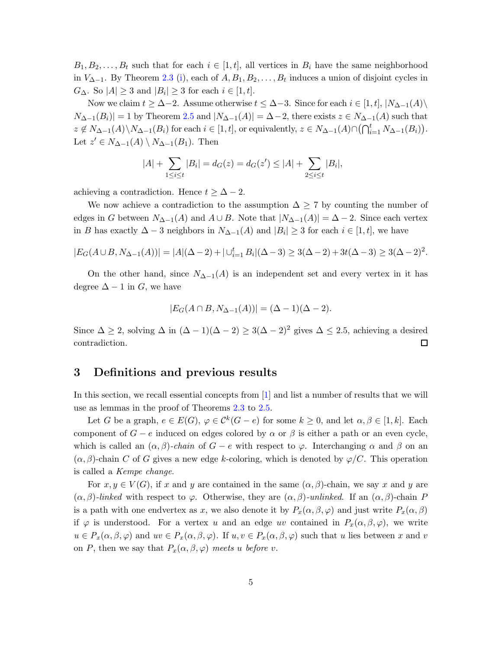$B_1, B_2, \ldots, B_t$  such that for each  $i \in [1, t]$ , all vertices in  $B_i$  have the same neighborhood in  $V_{\Delta-1}$ . By Theorem [2.3](#page-2-0) [\(i\)](#page-2-3), each of  $A, B_1, B_2, \ldots, B_t$  induces a union of disjoint cycles in  $G_{\Delta}$ . So  $|A| \geq 3$  and  $|B_i| \geq 3$  for each  $i \in [1, t]$ .

Now we claim  $t \geq \Delta - 2$ . Assume otherwise  $t \leq \Delta - 3$ . Since for each  $i \in [1, t]$ ,  $|N_{\Delta - 1}(A)\rangle$  $N_{\Delta-1}(B_i)|=1$  by Theorem [2.5](#page-2-1) and  $|N_{\Delta-1}(A)|=\Delta-2$ , there exists  $z \in N_{\Delta-1}(A)$  such that  $z \notin N_{\Delta-1}(A) \setminus N_{\Delta-1}(B_i)$  for each  $i \in [1, t]$ , or equivalently,  $z \in N_{\Delta-1}(A) \cap (\bigcap_{i=1}^t N_{\Delta-1}(B_i)).$ Let  $z' \in N_{\Delta-1}(A) \setminus N_{\Delta-1}(B_1)$ . Then

$$
|A| + \sum_{1 \le i \le t} |B_i| = d_G(z) = d_G(z') \le |A| + \sum_{2 \le i \le t} |B_i|,
$$

achieving a contradiction. Hence  $t \geq \Delta - 2$ .

We now achieve a contradiction to the assumption  $\Delta \geq 7$  by counting the number of edges in G between  $N_{\Delta-1}(A)$  and  $A \cup B$ . Note that  $|N_{\Delta-1}(A)| = \Delta - 2$ . Since each vertex in B has exactly  $\Delta - 3$  neighbors in  $N_{\Delta - 1}(A)$  and  $|B_i| \geq 3$  for each  $i \in [1, t]$ , we have

$$
|E_G(A \cup B, N_{\Delta-1}(A))| = |A|(\Delta - 2) + |\cup_{i=1}^t B_i|(\Delta - 3) \ge 3(\Delta - 2) + 3t(\Delta - 3) \ge 3(\Delta - 2)^2.
$$

On the other hand, since  $N_{\Delta-1}(A)$  is an independent set and every vertex in it has degree  $\Delta - 1$  in G, we have

$$
|E_G(A \cap B, N_{\Delta - 1}(A))| = (\Delta - 1)(\Delta - 2).
$$

Since  $\Delta \geq 2$ , solving  $\Delta$  in  $(\Delta - 1)(\Delta - 2) \geq 3(\Delta - 2)^2$  gives  $\Delta \leq 2.5$ , achieving a desired  $\Box$ contradiction.

### 3 Definitions and previous results

In this section, we recall essential concepts from [\[1\]](#page-26-4) and list a number of results that we will use as lemmas in the proof of Theorems [2.3](#page-2-0) to [2.5.](#page-2-1)

Let G be a graph,  $e \in E(G)$ ,  $\varphi \in C^k(G - e)$  for some  $k \geq 0$ , and let  $\alpha, \beta \in [1, k]$ . Each component of  $G - e$  induced on edges colored by  $\alpha$  or  $\beta$  is either a path or an even cycle, which is called an  $(\alpha, \beta)$ -chain of  $G - e$  with respect to  $\varphi$ . Interchanging  $\alpha$  and  $\beta$  on an  $(\alpha, \beta)$ -chain C of G gives a new edge k-coloring, which is denoted by  $\varphi$ /C. This operation is called a Kempe change.

For  $x, y \in V(G)$ , if x and y are contained in the same  $(\alpha, \beta)$ -chain, we say x and y are  $(\alpha, \beta)$ -linked with respect to  $\varphi$ . Otherwise, they are  $(\alpha, \beta)$ -unlinked. If an  $(\alpha, \beta)$ -chain P is a path with one endvertex as x, we also denote it by  $P_x(\alpha, \beta, \varphi)$  and just write  $P_x(\alpha, \beta)$ if  $\varphi$  is understood. For a vertex u and an edge uv contained in  $P_x(\alpha, \beta, \varphi)$ , we write  $u \in P_x(\alpha, \beta, \varphi)$  and  $uv \in P_x(\alpha, \beta, \varphi)$ . If  $u, v \in P_x(\alpha, \beta, \varphi)$  such that u lies between x and v on P, then we say that  $P_x(\alpha, \beta, \varphi)$  meets u before v.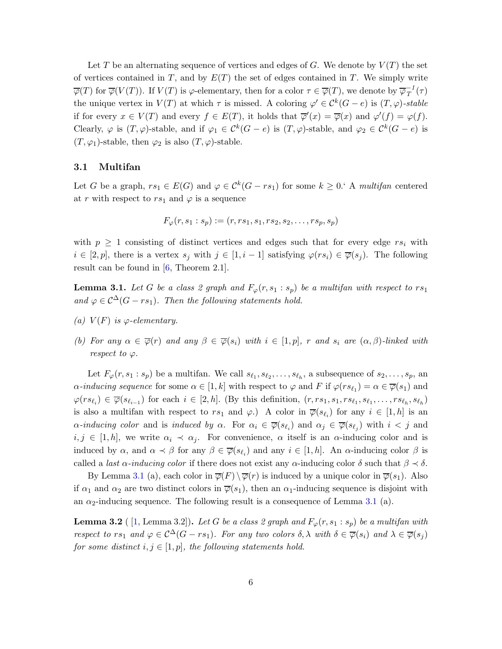Let T be an alternating sequence of vertices and edges of G. We denote by  $V(T)$  the set of vertices contained in T, and by  $E(T)$  the set of edges contained in T. We simply write  $\overline{\varphi}(T)$  for  $\overline{\varphi}(V(T))$ . If  $V(T)$  is  $\varphi$ -elementary, then for a color  $\tau \in \overline{\varphi}(T)$ , we denote by  $\overline{\varphi}_T^{-1}$  $T^I(\tau)$ the unique vertex in  $V(T)$  at which  $\tau$  is missed. A coloring  $\varphi' \in C^k(G-e)$  is  $(T, \varphi)$ -stable if for every  $x \in V(T)$  and every  $f \in E(T)$ , it holds that  $\overline{\varphi}'(x) = \overline{\varphi}(x)$  and  $\varphi'(f) = \varphi(f)$ . Clearly,  $\varphi$  is  $(T, \varphi)$ -stable, and if  $\varphi_1 \in C^k(G-e)$  is  $(T, \varphi)$ -stable, and  $\varphi_2 \in C^k(G-e)$  is  $(T, \varphi_1)$ -stable, then  $\varphi_2$  is also  $(T, \varphi)$ -stable.

#### 3.1 Multifan

Let G be a graph,  $rs_1 \in E(G)$  and  $\varphi \in C^k(G - rs_1)$  for some  $k \geq 0$ . A multifan centered at r with respect to  $rs_1$  and  $\varphi$  is a sequence

$$
F_{\varphi}(r,s_1:s_p) := (r,rs_1,s_1,rs_2,s_2,\ldots,rs_p,s_p)
$$

with  $p \geq 1$  consisting of distinct vertices and edges such that for every edge  $rs_i$  with  $i \in [2, p]$ , there is a vertex  $s_j$  with  $j \in [1, i - 1]$  satisfying  $\varphi(rs_i) \in \overline{\varphi}(s_j)$ . The following result can be found in [\[6,](#page-26-2) Theorem 2.1].

<span id="page-5-2"></span><span id="page-5-0"></span>**Lemma 3.1.** Let G be a class 2 graph and  $F_{\varphi}(r, s_1 : s_p)$  be a multifan with respect to  $rs_1$ and  $\varphi \in C^{\Delta}(G - rs_1)$ . Then the following statements hold.

- <span id="page-5-1"></span>(a)  $V(F)$  is  $\varphi$ -elementary.
- (b) For any  $\alpha \in \overline{\varphi}(r)$  and any  $\beta \in \overline{\varphi}(s_i)$  with  $i \in [1, p]$ , r and  $s_i$  are  $(\alpha, \beta)$ -linked with respect to  $\varphi$ .

Let  $F_{\varphi}(r, s_1 : s_p)$  be a multifan. We call  $s_{\ell_1}, s_{\ell_2}, \ldots, s_{\ell_h}$ , a subsequence of  $s_2, \ldots, s_p$ , an  $\alpha$ -inducing sequence for some  $\alpha \in [1, k]$  with respect to  $\varphi$  and  $F$  if  $\varphi(rs_{\ell_1}) = \alpha \in \overline{\varphi}(s_1)$  and  $\varphi(rs_{\ell_i}) \in \overline{\varphi}(s_{\ell_{i-1}})$  for each  $i \in [2, h]$ . (By this definition,  $(r, rs_1, s_1, rs_{\ell_1}, s_{\ell_1}, \ldots, rs_{\ell_h}, s_{\ell_h})$ is also a multifan with respect to  $rs_1$  and  $\varphi$ .) A color in  $\overline{\varphi}(s_{\ell_i})$  for any  $i \in [1, h]$  is an  $\alpha$ -inducing color and is induced by  $\alpha$ . For  $\alpha_i \in \overline{\varphi}(s_{\ell_i})$  and  $\alpha_j \in \overline{\varphi}(s_{\ell_j})$  with  $i < j$  and  $i, j \in [1, h]$ , we write  $\alpha_i \prec \alpha_j$ . For convenience,  $\alpha$  itself is an  $\alpha$ -inducing color and is induced by  $\alpha$ , and  $\alpha \prec \beta$  for any  $\beta \in \overline{\varphi}(s_{\ell_i})$  and any  $i \in [1, h]$ . An  $\alpha$ -inducing color  $\beta$  is called a *last*  $\alpha$ *-inducing color* if there does not exist any  $\alpha$ -inducing color  $\delta$  such that  $\beta \prec \delta$ .

By Lemma [3.1](#page-5-0) (a), each color in  $\overline{\varphi}(F) \setminus \overline{\varphi}(r)$  is induced by a unique color in  $\overline{\varphi}(s_1)$ . Also if  $\alpha_1$  and  $\alpha_2$  are two distinct colors in  $\overline{\varphi}(s_1)$ , then an  $\alpha_1$ -inducing sequence is disjoint with an  $\alpha_2$ -inducing sequence. The following result is a consequence of Lemma [3.1](#page-5-0) (a).

<span id="page-5-3"></span>**Lemma 3.2** ([1, Lemma 3.2]). Let G be a class 2 graph and  $F_{\varphi}(r, s_1 : s_p)$  be a multifan with respect to rs<sub>1</sub> and  $\varphi \in C^{\Delta}(G - rs_1)$ . For any two colors  $\delta, \lambda$  with  $\delta \in \overline{\varphi}(s_i)$  and  $\lambda \in \overline{\varphi}(s_i)$ for some distinct  $i, j \in [1, p]$ , the following statements hold.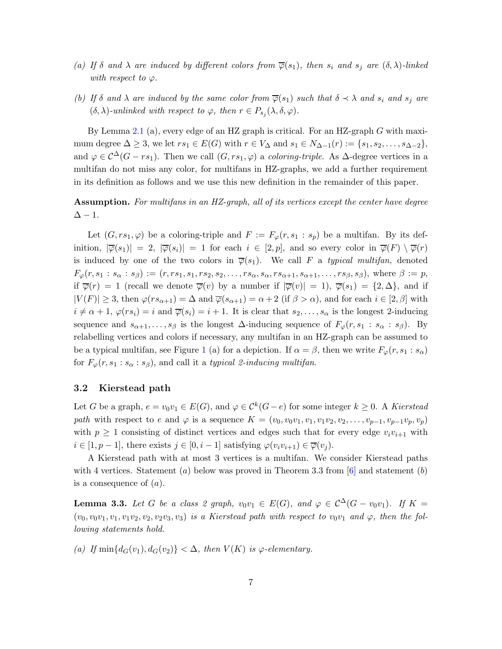- <span id="page-6-1"></span><span id="page-6-0"></span>(a) If  $\delta$  and  $\lambda$  are induced by different colors from  $\overline{\varphi}(s_1)$ , then  $s_i$  and  $s_j$  are  $(\delta, \lambda)$ -linked with respect to  $\varphi$ .
- (b) If  $\delta$  and  $\lambda$  are induced by the same color from  $\overline{\varphi}(s_1)$  such that  $\delta \prec \lambda$  and  $s_i$  and  $s_j$  are  $(\delta, \lambda)$ -unlinked with respect to  $\varphi$ , then  $r \in P_{s_j}(\lambda, \delta, \varphi)$ .

By Lemma [2.1](#page-2-2) (a), every edge of an HZ graph is critical. For an HZ-graph  $G$  with maximum degree  $\Delta \geq 3$ , we let  $rs_1 \in E(G)$  with  $r \in V_{\Delta}$  and  $s_1 \in N_{\Delta-1}(r) := \{s_1, s_2, \ldots, s_{\Delta-2}\},\$ and  $\varphi \in \mathcal{C}^{\Delta}(G - rs_1)$ . Then we call  $(G, rs_1, \varphi)$  a *coloring-triple*. As  $\Delta$ -degree vertices in a multifan do not miss any color, for multifans in HZ-graphs, we add a further requirement in its definition as follows and we use this new definition in the remainder of this paper.

# Assumption. For multifans in an HZ-graph, all of its vertices except the center have degree  $\Delta - 1$ .

Let  $(G, rs_1, \varphi)$  be a coloring-triple and  $F := F_{\varphi}(r, s_1 : s_p)$  be a multifan. By its definition,  $|\overline{\varphi}(s_1)| = 2$ ,  $|\overline{\varphi}(s_i)| = 1$  for each  $i \in [2, p]$ , and so every color in  $\overline{\varphi}(F) \setminus \overline{\varphi}(r)$ is induced by one of the two colors in  $\overline{\varphi}(s_1)$ . We call F a typical multifan, denoted  $F_{\varphi}(r,s_1:s_{\alpha}:s_{\beta}):=(r,rs_1,s_1,rs_2,s_2,\ldots,rs_{\alpha},s_{\alpha},rs_{\alpha+1},s_{\alpha+1},\ldots,rs_{\beta},s_{\beta}),$  where  $\beta:=p$ , if  $\overline{\varphi}(r) = 1$  (recall we denote  $\overline{\varphi}(v)$  by a number if  $|\overline{\varphi}(v)| = 1$ ),  $\overline{\varphi}(s_1) = \{2, \Delta\}$ , and if  $|V(F)| \geq 3$ , then  $\varphi(rs_{\alpha+1}) = \Delta$  and  $\overline{\varphi}(s_{\alpha+1}) = \alpha + 2$  (if  $\beta > \alpha$ ), and for each  $i \in [2, \beta]$  with  $i \neq \alpha+1$ ,  $\varphi(rs_i) = i$  and  $\overline{\varphi}(s_i) = i+1$ . It is clear that  $s_2, \ldots, s_\alpha$  is the longest 2-inducing sequence and  $s_{\alpha+1}, \ldots, s_{\beta}$  is the longest  $\Delta$ -inducing sequence of  $F_{\varphi}(r, s_1 : s_{\alpha} : s_{\beta})$ . By relabelling vertices and colors if necessary, any multifan in an HZ-graph can be assumed to be a typical multifan, see Figure [1](#page-7-0) (a) for a depiction. If  $\alpha = \beta$ , then we write  $F_{\varphi}(r, s_1 : s_{\alpha})$ for  $F_{\varphi}(r, s_1 : s_{\alpha} : s_{\beta})$ , and call it a typical 2-inducing multifan.

#### 3.2 Kierstead path

Let G be a graph,  $e = v_0v_1 \in E(G)$ , and  $\varphi \in C^k(G-e)$  for some integer  $k \geq 0$ . A Kierstead path with respect to e and  $\varphi$  is a sequence  $K = (v_0, v_0v_1, v_1, v_1v_2, v_2, \ldots, v_{p-1}, v_{p-1}v_p, v_p)$ with  $p \geq 1$  consisting of distinct vertices and edges such that for every edge  $v_i v_{i+1}$  with  $i \in [1, p-1]$ , there exists  $j \in [0, i-1]$  satisfying  $\varphi(v_i v_{i+1}) \in \overline{\varphi}(v_j)$ .

A Kierstead path with at most 3 vertices is a multifan. We consider Kierstead paths with 4 vertices. Statement (a) below was proved in Theorem 3.3 from  $|6|$  and statement (b) is a consequence of  $(a)$ .

<span id="page-6-2"></span>**Lemma 3.3.** Let G be a class 2 graph,  $v_0v_1 \in E(G)$ , and  $\varphi \in C^{\Delta}(G - v_0v_1)$ . If  $K =$  $(v_0, v_0v_1, v_1, v_1v_2, v_2, v_2v_3, v_3)$  is a Kierstead path with respect to  $v_0v_1$  and  $\varphi$ , then the following statements hold.

(a) If  $\min\{d_G(v_1), d_G(v_2)\} < \Delta$ , then  $V(K)$  is  $\varphi$ -elementary.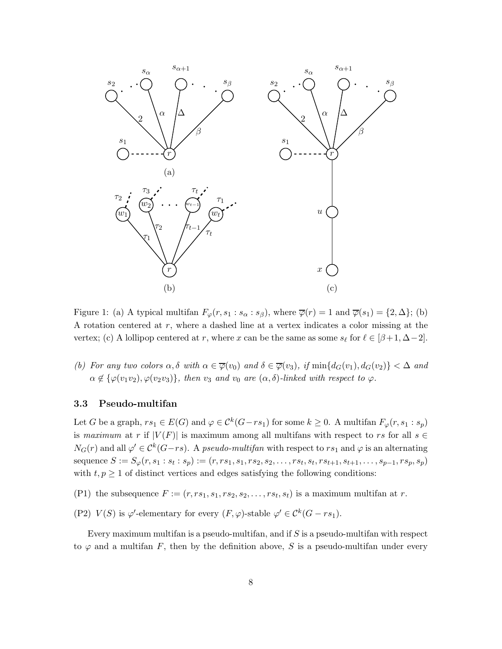

<span id="page-7-0"></span>Figure 1: (a) A typical multifan  $F_{\varphi}(r, s_1 : s_{\alpha} : s_{\beta})$ , where  $\overline{\varphi}(r) = 1$  and  $\overline{\varphi}(s_1) = \{2, \Delta\};$  (b) A rotation centered at  $r$ , where a dashed line at a vertex indicates a color missing at the vertex; (c) A lollipop centered at r, where x can be the same as some  $s_{\ell}$  for  $\ell \in [\beta+1, \Delta-2]$ .

(b) For any two colors  $\alpha, \delta$  with  $\alpha \in \overline{\varphi}(v_0)$  and  $\delta \in \overline{\varphi}(v_3)$ , if  $\min\{d_G(v_1), d_G(v_2)\} < \Delta$  and  $\alpha \notin {\varphi}(v_1v_2), \varphi(v_2v_3)$ , then  $v_3$  and  $v_0$  are  $(\alpha, \delta)$ -linked with respect to  $\varphi$ .

#### 3.3 Pseudo-multifan

Let G be a graph,  $rs_1 \in E(G)$  and  $\varphi \in C^k(G-rs_1)$  for some  $k \geq 0$ . A multifan  $F_{\varphi}(r, s_1 : s_p)$ is maximum at r if  $|V(F)|$  is maximum among all multifans with respect to rs for all  $s \in$  $N_G(r)$  and all  $\varphi' \in C^k(G-rs)$ . A pseudo-multifan with respect to  $rs_1$  and  $\varphi$  is an alternating sequence  $S := S_{\varphi}(r, s_1 : s_t : s_p) := (r, rs_1, s_1, rs_2, s_2, \dots, rs_t, s_t, rs_{t+1}, s_{t+1}, \dots, s_{p-1}, rs_p, s_p)$ with  $t, p \geq 1$  of distinct vertices and edges satisfying the following conditions:

- (P1) the subsequence  $F := (r, rs_1, s_1, rs_2, s_2, \ldots, rs_t, s_t)$  is a maximum multifan at r.
- (P2)  $V(S)$  is  $\varphi'$ -elementary for every  $(F, \varphi)$ -stable  $\varphi' \in C^k(G rs_1)$ .

Every maximum multifan is a pseudo-multifan, and if  $S$  is a pseudo-multifan with respect to  $\varphi$  and a multifan F, then by the definition above, S is a pseudo-multifan under every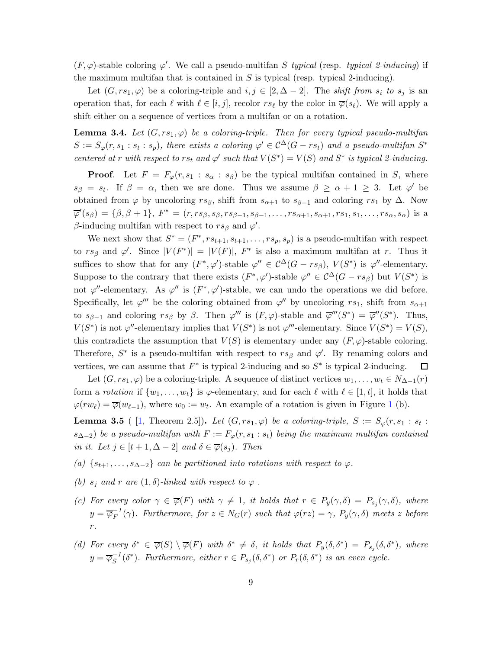$(F, \varphi)$ -stable coloring  $\varphi'$ . We call a pseudo-multifan S typical (resp. typical 2-inducing) if the maximum multifan that is contained in  $S$  is typical (resp. typical 2-inducing).

Let  $(G, rs_1, \varphi)$  be a coloring-triple and  $i, j \in [2, \Delta - 2]$ . The shift from  $s_i$  to  $s_j$  is an operation that, for each  $\ell$  with  $\ell \in [i, j]$ , recolor  $rs_{\ell}$  by the color in  $\overline{\varphi}(s_{\ell})$ . We will apply a shift either on a sequence of vertices from a multifan or on a rotation.

<span id="page-8-0"></span>**Lemma 3.4.** Let  $(G, rs_1, \varphi)$  be a coloring-triple. Then for every typical pseudo-multifan  $S := S_{\varphi}(r, s_1 : s_t : s_p)$ , there exists a coloring  $\varphi' \in C^{\Delta}(G - rs_t)$  and a pseudo-multifan  $S^*$ centered at r with respect to rs<sub>t</sub> and  $\varphi'$  such that  $V(S^*) = V(S)$  and  $S^*$  is typical 2-inducing.

**Proof.** Let  $F = F_{\varphi}(r, s_1 : s_{\alpha} : s_{\beta})$  be the typical multifan contained in S, where  $s_{\beta} = s_t$ . If  $\beta = \alpha$ , then we are done. Thus we assume  $\beta \ge \alpha + 1 \ge 3$ . Let  $\varphi'$  be obtained from  $\varphi$  by uncoloring  $rs_\beta$ , shift from  $s_{\alpha+1}$  to  $s_{\beta-1}$  and coloring  $rs_1$  by  $\Delta$ . Now  $\overline{\varphi}'(s_{\beta}) = \{\beta, \beta + 1\}, F^* = (r, rs_{\beta}, s_{\beta}, rs_{\beta-1}, s_{\beta-1}, \ldots, rs_{\alpha+1}, s_{\alpha+1}, rs_1, s_1, \ldots, rs_{\alpha}, s_{\alpha})$  is a β-inducing multifan with respect to  $rs_\beta$  and  $\varphi'$ .

We next show that  $S^* = (F^*, rs_{t+1}, s_{t+1}, \ldots, rs_p, s_p)$  is a pseudo-multifan with respect to  $rs_{\beta}$  and  $\varphi'$ . Since  $|V(F^*)| = |V(F)|$ ,  $F^*$  is also a maximum multifan at r. Thus it suffices to show that for any  $(F^*, \varphi')$ -stable  $\varphi'' \in C^{\Delta}(G - rs_{\beta}), V(S^*)$  is  $\varphi''$ -elementary. Suppose to the contrary that there exists  $(F^*, \varphi')$ -stable  $\varphi'' \in C^{\Delta}(G - rs_{\beta})$  but  $V(S^*)$  is not  $\varphi''$ -elementary. As  $\varphi''$  is  $(F^*, \varphi')$ -stable, we can undo the operations we did before. Specifically, let  $\varphi'''$  be the coloring obtained from  $\varphi''$  by uncoloring  $rs_1$ , shift from  $s_{\alpha+1}$ to  $s_{\beta-1}$  and coloring  $rs_{\beta}$  by  $\beta$ . Then  $\varphi'''$  is  $(F, \varphi)$ -stable and  $\overline{\varphi}'''(S^*) = \overline{\varphi}''(S^*)$ . Thus,  $V(S^*)$  is not  $\varphi''$ -elementary implies that  $V(S^*)$  is not  $\varphi'''$ -elementary. Since  $V(S^*) = V(S)$ , this contradicts the assumption that  $V(S)$  is elementary under any  $(F, \varphi)$ -stable coloring. Therefore,  $S^*$  is a pseudo-multifan with respect to  $rs_\beta$  and  $\varphi'$ . By renaming colors and vertices, we can assume that  $F^*$  is typical 2-inducing and so  $S^*$  is typical 2-inducing.  $\Box$ 

Let  $(G, rs_1, \varphi)$  be a coloring-triple. A sequence of distinct vertices  $w_1, \ldots, w_t \in N_{\Delta-1}(r)$ form a rotation if  $\{w_1, \ldots, w_t\}$  is  $\varphi$ -elementary, and for each  $\ell$  with  $\ell \in [1, t]$ , it holds that  $\varphi(rw_\ell) = \overline{\varphi}(w_{\ell-1}),$  $\varphi(rw_\ell) = \overline{\varphi}(w_{\ell-1}),$  $\varphi(rw_\ell) = \overline{\varphi}(w_{\ell-1}),$  where  $w_0 := w_t$ . An example of a rotation is given in Figure 1 (b).

<span id="page-8-1"></span>**Lemma 3.5** ( [\[1,](#page-26-4) Theorem 2.5]). Let  $(G, rs_1, \varphi)$  be a coloring-triple,  $S := S_{\varphi}(r, s_1 : s_t : s_t)$  $s_{\Delta-2}$ ) be a pseudo-multifan with  $F := F_{\varphi}(r, s_1 : s_t)$  being the maximum multifan contained in it. Let  $j \in [t+1, \Delta-2]$  and  $\delta \in \overline{\varphi}(s_j)$ . Then

- <span id="page-8-3"></span>(a)  $\{s_{t+1}, \ldots, s_{\Delta-2}\}\$  can be partitioned into rotations with respect to  $\varphi$ .
- <span id="page-8-2"></span>(b)  $s_j$  and r are  $(1, \delta)$ -linked with respect to  $\varphi$ .
- (c) For every color  $\gamma \in \overline{\varphi}(F)$  with  $\gamma \neq 1$ , it holds that  $r \in P_y(\gamma, \delta) = P_{s_j}(\gamma, \delta)$ , where  $y=\overline{\varphi}_{F}^{-1}$  $\mathcal{F}_F^{-1}(\gamma)$ . Furthermore, for  $z \in N_G(r)$  such that  $\varphi(rz) = \gamma$ ,  $P_y(\gamma, \delta)$  meets z before r.
- <span id="page-8-4"></span>(d) For every  $\delta^* \in \overline{\varphi}(S) \setminus \overline{\varphi}(F)$  with  $\delta^* \neq \delta$ , it holds that  $P_y(\delta, \delta^*) = P_{s_j}(\delta, \delta^*)$ , where  $y = \overline{\varphi}_S^{-1}$  $\overline{S}^1(\delta^*)$ . Furthermore, either  $r \in P_{s_j}(\delta, \delta^*)$  or  $P_r(\delta, \delta^*)$  is an even cycle.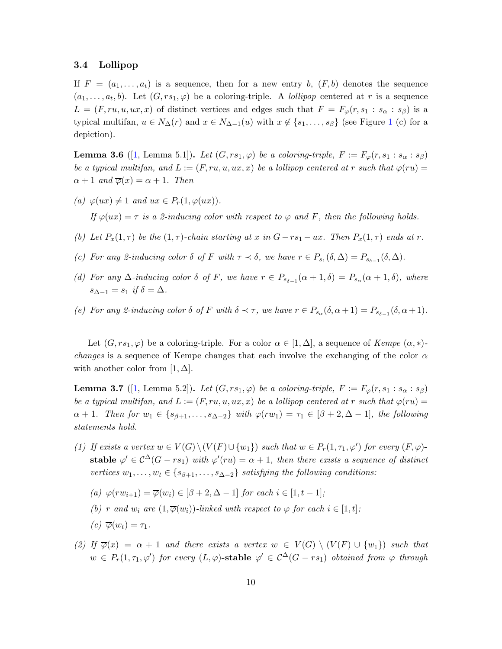#### 3.4 Lollipop

If  $F = (a_1, \ldots, a_t)$  is a sequence, then for a new entry b,  $(F, b)$  denotes the sequence  $(a_1, \ldots, a_t, b)$ . Let  $(G, rs_1, \varphi)$  be a coloring-triple. A *lollipop* centered at r is a sequence  $L = (F, ru, u, ux, x)$  of distinct vertices and edges such that  $F = F_{\varphi}(r, s_1 : s_{\alpha} : s_{\beta})$  is a typical multifan,  $u \in N_\Delta(r)$  and  $x \in N_{\Delta-1}(u)$  $x \in N_{\Delta-1}(u)$  $x \in N_{\Delta-1}(u)$  with  $x \notin \{s_1, \ldots, s_\beta\}$  (see Figure 1 (c) for a depiction).

<span id="page-9-3"></span>**Lemma 3.6** ([\[1,](#page-26-4) Lemma 5.1]). Let  $(G, rs_1, \varphi)$  be a coloring-triple,  $F := F_{\varphi}(r, s_1 : s_{\alpha} : s_{\beta})$ be a typical multifan, and  $L := (F, ru, u, ux, x)$  be a lollipop centered at r such that  $\varphi(ru) =$  $\alpha + 1$  and  $\overline{\varphi}(x) = \alpha + 1$ . Then

<span id="page-9-4"></span>(a)  $\varphi(ux) \neq 1$  and  $ux \in P_r(1, \varphi(ux))$ .

If  $\varphi(ux) = \tau$  is a 2-inducing color with respect to  $\varphi$  and F, then the following holds.

- <span id="page-9-6"></span>(b) Let  $P_x(1,\tau)$  be the  $(1,\tau)$ -chain starting at x in  $G-rs_1-ux$ . Then  $P_x(1,\tau)$  ends at r.
- <span id="page-9-5"></span>(c) For any 2-inducing color  $\delta$  of F with  $\tau \prec \delta$ , we have  $r \in P_{s_1}(\delta, \Delta) = P_{s_{\delta-1}}(\delta, \Delta)$ .
- (d) For any  $\Delta$ -inducing color  $\delta$  of F, we have  $r \in P_{s_{\delta-1}}(\alpha+1,\delta) = P_{s_{\alpha}}(\alpha+1,\delta)$ , where  $s_{\Delta-1} = s_1$  if  $\delta = \Delta$ .
- (e) For any 2-inducing color  $\delta$  of F with  $\delta \prec \tau$ , we have  $r \in P_{s_\alpha}(\delta, \alpha+1) = P_{s_{\delta-1}}(\delta, \alpha+1)$ .

Let  $(G, rs_1, \varphi)$  be a coloring-triple. For a color  $\alpha \in [1, \Delta]$ , a sequence of  $Kempe (\alpha, *)$ *changes* is a sequence of Kempe changes that each involve the exchanging of the color  $\alpha$ with another color from  $[1, \Delta]$ .

<span id="page-9-0"></span>**Lemma 3.7** ([\[1,](#page-26-4) Lemma 5.2]). Let  $(G, rs_1, \varphi)$  be a coloring-triple,  $F := F_{\varphi}(r, s_1 : s_{\alpha} : s_{\beta})$ be a typical multifan, and  $L := (F, ru, u, ux, x)$  be a lollipop centered at r such that  $\varphi(ru) =$  $\alpha + 1$ . Then for  $w_1 \in \{s_{\beta+1}, \ldots, s_{\Delta-2}\}\$  with  $\varphi(rw_1) = \tau_1 \in [\beta + 2, \Delta - 1]$ , the following statements hold.

- <span id="page-9-1"></span>(1) If exists a vertex  $w \in V(G) \setminus (V(F) \cup \{w_1\})$  such that  $w \in P_r(1, \tau_1, \varphi')$  for every  $(F, \varphi)$ stable  $\varphi' \in C^{\Delta}(G - rs_1)$  with  $\varphi'(ru) = \alpha + 1$ , then there exists a sequence of distinct vertices  $w_1, \ldots, w_t \in \{s_{\beta+1}, \ldots, s_{\Delta-2}\}\$  satisfying the following conditions:
	- (a)  $\varphi(rw_{i+1}) = \overline{\varphi}(w_i) \in [\beta + 2, \Delta 1]$  for each  $i \in [1, t 1]$ ;
	- (b) r and w<sub>i</sub> are  $(1,\overline{\varphi}(w_i))$ -linked with respect to  $\varphi$  for each  $i \in [1,t]$ ;
	- $(c) \overline{\varphi}(w_t) = \tau_1.$
- <span id="page-9-2"></span>(2) If  $\overline{\varphi}(x) = \alpha + 1$  and there exists a vertex  $w \in V(G) \setminus (V(F) \cup \{w_1\})$  such that  $w \in P_r(1,\tau_1,\varphi')$  for every  $(L,\varphi)$ -stable  $\varphi' \in C^{\Delta}(G-rs_1)$  obtained from  $\varphi$  through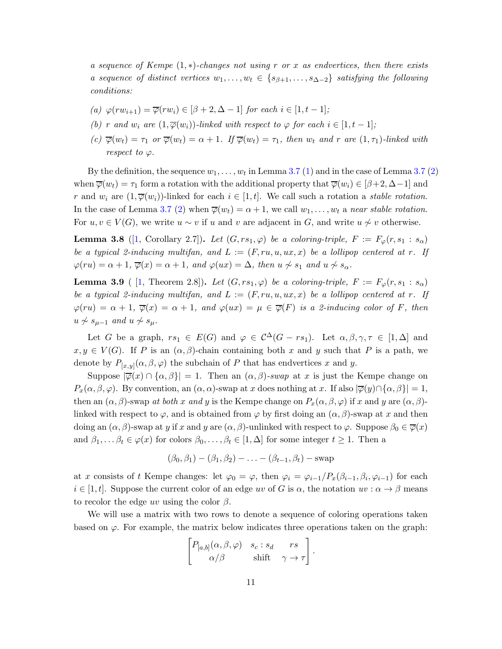a sequence of Kempe  $(1,*)$ -changes not using r or x as endvertices, then there exists a sequence of distinct vertices  $w_1, \ldots, w_t \in \{s_{\beta+1}, \ldots, s_{\Delta-2}\}\$  satisfying the following conditions:

- (a)  $\varphi(rw_{i+1}) = \overline{\varphi}(rw_i) \in [\beta + 2, \Delta 1]$  for each  $i \in [1, t 1]$ ;
- (b) r and  $w_i$  are  $(1,\overline{\varphi}(w_i))$ -linked with respect to  $\varphi$  for each  $i \in [1,t-1]$ ;
- (c)  $\overline{\varphi}(w_t) = \tau_1$  or  $\overline{\varphi}(w_t) = \alpha + 1$ . If  $\overline{\varphi}(w_t) = \tau_1$ , then  $w_t$  and r are  $(1, \tau_1)$ -linked with respect to  $\varphi$ .

By the definition, the sequence  $w_1, \ldots, w_t$  in Lemma [3.7](#page-9-0) [\(1\)](#page-9-1) and in the case of Lemma 3.7 [\(2\)](#page-9-2) when  $\overline{\varphi}(w_t) = \tau_1$  form a rotation with the additional property that  $\overline{\varphi}(w_i) \in [\beta+2, \Delta-1]$  and r and  $w_i$  are  $(1,\overline{\varphi}(w_i))$ -linked for each  $i \in [1,t]$ . We call such a rotation a *stable rotation*. In the case of Lemma [3.7](#page-9-0) [\(2\)](#page-9-2) when  $\overline{\varphi}(w_t) = \alpha + 1$ , we call  $w_1, \ldots, w_t$  a near stable rotation. For  $u, v \in V(G)$ , we write  $u \sim v$  if u and v are adjacent in G, and write  $u \not\sim v$  otherwise.

<span id="page-10-0"></span>**Lemma 3.8** ([\[1,](#page-26-4) Corollary 2.7]). Let  $(G, rs_1, \varphi)$  be a coloring-triple,  $F := F_{\varphi}(r, s_1 : s_{\alpha})$ be a typical 2-inducing multifan, and  $L := (F, ru, u, ux, x)$  be a lollipop centered at r. If  $\varphi(ru) = \alpha + 1, \overline{\varphi}(x) = \alpha + 1, \text{ and } \varphi(ux) = \Delta, \text{ then } u \nsim s_1 \text{ and } u \nsim s_\alpha.$ 

<span id="page-10-1"></span>**Lemma 3.9** ( [\[1,](#page-26-4) Theorem 2.8]). Let  $(G, rs_1, \varphi)$  be a coloring-triple,  $F := F_{\varphi}(r, s_1 : s_{\alpha})$ be a typical 2-inducing multifan, and  $L := (F, ru, u, ux, x)$  be a lollipop centered at r. If  $\varphi(ru) = \alpha + 1$ ,  $\overline{\varphi}(x) = \alpha + 1$ , and  $\varphi(ux) = \mu \in \overline{\varphi}(F)$  is a 2-inducing color of F, then  $u \nsim s_{\mu-1}$  and  $u \nsim s_{\mu}$ .

Let G be a graph,  $rs_1 \in E(G)$  and  $\varphi \in C^{\Delta}(G - rs_1)$ . Let  $\alpha, \beta, \gamma, \tau \in [1, \Delta]$  and  $x, y \in V(G)$ . If P is an  $(\alpha, \beta)$ -chain containing both x and y such that P is a path, we denote by  $P_{[x,y]}(\alpha, \beta, \varphi)$  the subchain of P that has endvertices x and y.

Suppose  $|\overline{\varphi}(x) \cap {\alpha, \beta}| = 1$ . Then an  $(\alpha, \beta)$ -swap at x is just the Kempe change on  $P_x(\alpha, \beta, \varphi)$ . By convention, an  $(\alpha, \alpha)$ -swap at x does nothing at x. If also  $|\overline{\varphi}(y) \cap {\alpha, \beta}| = 1$ , then an  $(\alpha, \beta)$ -swap at both x and y is the Kempe change on  $P_x(\alpha, \beta, \varphi)$  if x and y are  $(\alpha, \beta)$ linked with respect to  $\varphi$ , and is obtained from  $\varphi$  by first doing an  $(\alpha, \beta)$ -swap at x and then doing an  $(\alpha, \beta)$ -swap at y if x and y are  $(\alpha, \beta)$ -unlinked with respect to  $\varphi$ . Suppose  $\beta_0 \in \overline{\varphi}(x)$ and  $\beta_1, \ldots, \beta_t \in \varphi(x)$  for colors  $\beta_0, \ldots, \beta_t \in [1, \Delta]$  for some integer  $t \geq 1$ . Then a

$$
(\beta_0, \beta_1) - (\beta_1, \beta_2) - \ldots - (\beta_{t-1}, \beta_t) - \text{swap}
$$

at x consists of t Kempe changes: let  $\varphi_0 = \varphi$ , then  $\varphi_i = \varphi_{i-1}/P_x(\beta_{i-1}, \beta_i, \varphi_{i-1})$  for each  $i \in [1, t]$ . Suppose the current color of an edge uv of G is  $\alpha$ , the notation  $uv : \alpha \to \beta$  means to recolor the edge uv using the color  $\beta$ .

We will use a matrix with two rows to denote a sequence of coloring operations taken based on  $\varphi$ . For example, the matrix below indicates three operations taken on the graph:

$$
\begin{bmatrix} P_{[a,b]}(\alpha,\beta,\varphi) & s_c : s_d & rs \\ \alpha/\beta & \text{shift} & \gamma \to \tau \end{bmatrix}.
$$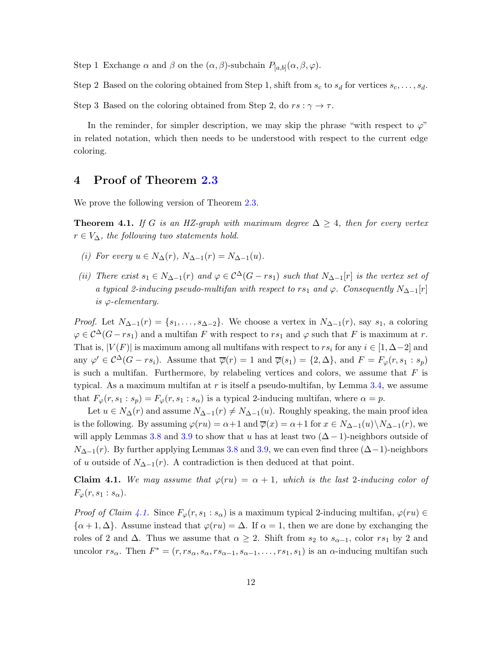Step 1 Exchange  $\alpha$  and  $\beta$  on the  $(\alpha, \beta)$ -subchain  $P_{[a,b]}(\alpha, \beta, \varphi)$ .

Step 2 Based on the coloring obtained from Step 1, shift from  $s_c$  to  $s_d$  for vertices  $s_c, \ldots, s_d$ .

Step 3 Based on the coloring obtained from Step 2, do  $rs : \gamma \to \tau$ .

In the reminder, for simpler description, we may skip the phrase "with respect to  $\varphi$ " in related notation, which then needs to be understood with respect to the current edge coloring.

## 4 Proof of Theorem [2.3](#page-2-0)

We prove the following version of Theorem [2.3.](#page-2-0)

<span id="page-11-2"></span><span id="page-11-1"></span>**Theorem 4.1.** If G is an HZ-graph with maximum degree  $\Delta \geq 4$ , then for every vertex  $r \in V_{\Delta}$ , the following two statements hold.

- <span id="page-11-3"></span>(i) For every  $u \in N_{\Delta}(r)$ ,  $N_{\Delta-1}(r) = N_{\Delta-1}(u)$ .
- (ii) There exist  $s_1 \in N_{\Delta-1}(r)$  and  $\varphi \in C^{\Delta}(G rs_1)$  such that  $N_{\Delta-1}[r]$  is the vertex set of a typical 2-inducing pseudo-multifan with respect to rs<sub>1</sub> and  $\varphi$ . Consequently  $N_{\Delta-1}[r]$ is  $\varphi$ -elementary.

*Proof.* Let  $N_{\Delta-1}(r) = \{s_1, \ldots, s_{\Delta-2}\}\.$  We choose a vertex in  $N_{\Delta-1}(r)$ , say  $s_1$ , a coloring  $\varphi \in C^{\Delta}(G-r_{s_1})$  and a multifan F with respect to  $rs_1$  and  $\varphi$  such that F is maximum at r. That is,  $|V(F)|$  is maximum among all multifans with respect to  $rs_i$  for any  $i \in [1, \Delta-2]$  and any  $\varphi' \in C^{\Delta}(G - rs_i)$ . Assume that  $\overline{\varphi}(r) = 1$  and  $\overline{\varphi}(s_1) = \{2, \Delta\}$ , and  $F = F_{\varphi}(r, s_1 : s_p)$ is such a multifan. Furthermore, by relabeling vertices and colors, we assume that  $F$  is typical. As a maximum multifan at r is itself a pseudo-multifan, by Lemma [3.4,](#page-8-0) we assume that  $F_{\varphi}(r, s_1 : s_p) = F_{\varphi}(r, s_1 : s_\alpha)$  is a typical 2-inducing multifan, where  $\alpha = p$ .

Let  $u \in N_{\Delta}(r)$  and assume  $N_{\Delta-1}(r) \neq N_{\Delta-1}(u)$ . Roughly speaking, the main proof idea is the following. By assuming  $\varphi(ru) = \alpha + 1$  and  $\overline{\varphi}(x) = \alpha + 1$  for  $x \in N_{\Delta-1}(u) \setminus N_{\Delta-1}(r)$ , we will apply Lemmas [3.8](#page-10-0) and [3.9](#page-10-1) to show that u has at least two  $(\Delta - 1)$ -neighbors outside of  $N_{\Delta-1}(r)$ . By further applying Lemmas [3.8](#page-10-0) and [3.9,](#page-10-1) we can even find three  $(\Delta-1)$ -neighbors of u outside of  $N_{\Delta-1}(r)$ . A contradiction is then deduced at that point.

<span id="page-11-0"></span>**Claim 4.1.** We may assume that  $\varphi(ru) = \alpha + 1$ , which is the last 2-inducing color of  $F_{\varphi}(r,s_1:s_{\alpha}).$ 

*Proof of Claim [4.1.](#page-11-0)* Since  $F_{\varphi}(r, s_1 : s_{\alpha})$  is a maximum typical 2-inducing multifan,  $\varphi(ru) \in$  $\{\alpha+1,\Delta\}$ . Assume instead that  $\varphi(ru) = \Delta$ . If  $\alpha = 1$ , then we are done by exchanging the roles of 2 and  $\Delta$ . Thus we assume that  $\alpha \geq 2$ . Shift from  $s_2$  to  $s_{\alpha-1}$ , color  $rs_1$  by 2 and uncolor  $rs_\alpha$ . Then  $F^* = (r, rs_\alpha, s_\alpha, rs_{\alpha-1}, s_{\alpha-1}, \ldots, rs_1, s_1)$  is an  $\alpha$ -inducing multifan such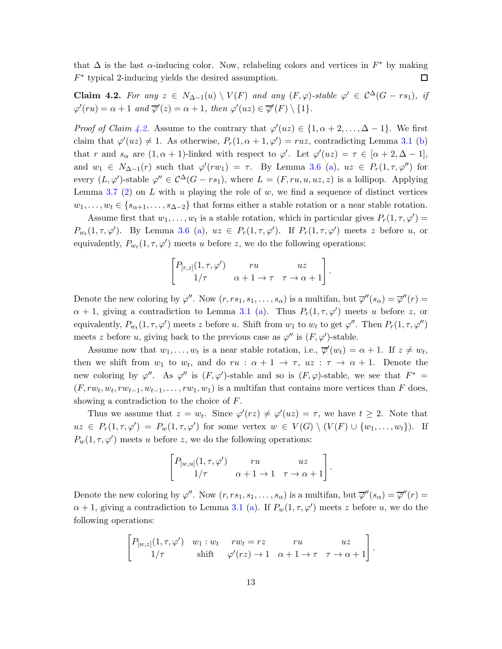that  $\Delta$  is the last  $\alpha$ -inducing color. Now, relabeling colors and vertices in  $F^*$  by making  $F^*$  typical 2-inducing yields the desired assumption. □

<span id="page-12-0"></span>Claim 4.2. For any  $z \in N_{\Delta-1}(u) \setminus V(F)$  and any  $(F,\varphi)$ -stable  $\varphi' \in C^{\Delta}(G-rs_1)$ , if  $\varphi'(ru) = \alpha + 1$  and  $\overline{\varphi}'(z) = \alpha + 1$ , then  $\varphi'(uz) \in \overline{\varphi}'(F) \setminus \{1\}.$ 

*Proof of Claim [4.2.](#page-12-0)* Assume to the contrary that  $\varphi'(uz) \in \{1, \alpha + 2, ..., \Delta - 1\}$ . We first claim that  $\varphi'(uz) \neq 1$ . As otherwise,  $P_r(1, \alpha + 1, \varphi') = ruz$ , contradicting Lemma [3.1](#page-5-0) [\(b\)](#page-5-1) that r and  $s_{\alpha}$  are  $(1, \alpha + 1)$ -linked with respect to  $\varphi'$ . Let  $\varphi'(uz) = \tau \in [\alpha + 2, \Delta - 1]$ , and  $w_1 \in N_{\Delta-1}(r)$  such that  $\varphi'(rw_1) = \tau$ . By Lemma [3.6](#page-9-3) [\(a\)](#page-9-4),  $uz \in P_r(1, \tau, \varphi'')$  for every  $(L, \varphi')$ -stable  $\varphi'' \in C^{\Delta}(G - rs_1)$ , where  $L = (F, ru, u, uz, z)$  is a lollipop. Applying Lemma [3.7](#page-9-0) [\(2\)](#page-9-2) on L with u playing the role of  $w$ , we find a sequence of distinct vertices  $w_1, \ldots, w_t \in \{s_{\alpha+1}, \ldots, s_{\Delta-2}\}\$  that forms either a stable rotation or a near stable rotation.

Assume first that  $w_1, \ldots, w_t$  is a stable rotation, which in particular gives  $P_r(1, \tau, \varphi') =$  $P_{w_t}(1, \tau, \varphi')$ . By Lemma [3.6](#page-9-3) [\(a\)](#page-9-4),  $uz \in P_r(1, \tau, \varphi')$ . If  $P_r(1, \tau, \varphi')$  meets z before u, or equivalently,  $P_{wt}(1, \tau, \varphi')$  meets u before z, we do the following operations:

$$
\begin{bmatrix} P_{[r,z]}(1,\tau,\varphi') & ru & uz \\ 1/\tau & \alpha+1 \to \tau & \tau \to \alpha+1 \end{bmatrix}.
$$

Denote the new coloring by  $\varphi''$ . Now  $(r, rs_1, s_1, \ldots, s_\alpha)$  is a multifan, but  $\overline{\varphi}''(s_\alpha) = \overline{\varphi}''(r) =$  $\alpha + 1$ , giving a contradiction to Lemma [3.1](#page-5-0) [\(a\)](#page-5-2). Thus  $P_r(1, \tau, \varphi')$  meets u before z, or equivalently,  $P_{w_t}(1, \tau, \varphi')$  meets z before u. Shift from  $w_1$  to  $w_t$  to get  $\varphi''$ . Then  $P_r(1, \tau, \varphi'')$ meets z before u, giving back to the previous case as  $\varphi''$  is  $(F, \varphi')$ -stable.

Assume now that  $w_1, \ldots, w_t$  is a near stable rotation, i.e.,  $\overline{\varphi}'(w_t) = \alpha + 1$ . If  $z \neq w_t$ , then we shift from  $w_1$  to  $w_t$ , and do  $ru : \alpha + 1 \rightarrow \tau$ ,  $uz : \tau \rightarrow \alpha + 1$ . Denote the new coloring by  $\varphi''$ . As  $\varphi''$  is  $(F, \varphi')$ -stable and so is  $(F, \varphi)$ -stable, we see that  $F^* =$  $(F, rw_t, w_t, rw_{t-1}, w_{t-1}, \ldots, rw_1, w_1)$  is a multifan that contains more vertices than F does, showing a contradiction to the choice of F.

Thus we assume that  $z = w_t$ . Since  $\varphi'(rz) \neq \varphi'(uz) = \tau$ , we have  $t \geq 2$ . Note that  $uz \in P_r(1,\tau,\varphi') = P_w(1,\tau,\varphi')$  for some vertex  $w \in V(G) \setminus (V(F) \cup \{w_1,\ldots,w_t\})$ . If  $P_w(1, \tau, \varphi')$  meets u before z, we do the following operations:

$$
\begin{bmatrix} P_{[w,u]}(1,\tau,\varphi') & ru & uz \\ 1/\tau & \alpha+1 \to 1 & \tau \to \alpha+1 \end{bmatrix}.
$$

Denote the new coloring by  $\varphi''$ . Now  $(r, rs_1, s_1, \ldots, s_\alpha)$  is a multifan, but  $\overline{\varphi}''(s_\alpha) = \overline{\varphi}''(r) =$  $\alpha + 1$ , giving a contradiction to Lemma [3.1](#page-5-0) [\(a\)](#page-5-2). If  $P_w(1, \tau, \varphi')$  meets z before u, we do the following operations:

$$
\begin{bmatrix} P_{[w,z]}(1,\tau,\varphi') & w_1:w_t & rw_t = rz & ru & uz \\ 1/\tau & \text{shift} & \varphi'(rz) \to 1 & \alpha+1 \to \tau & \tau \to \alpha+1 \end{bmatrix}.
$$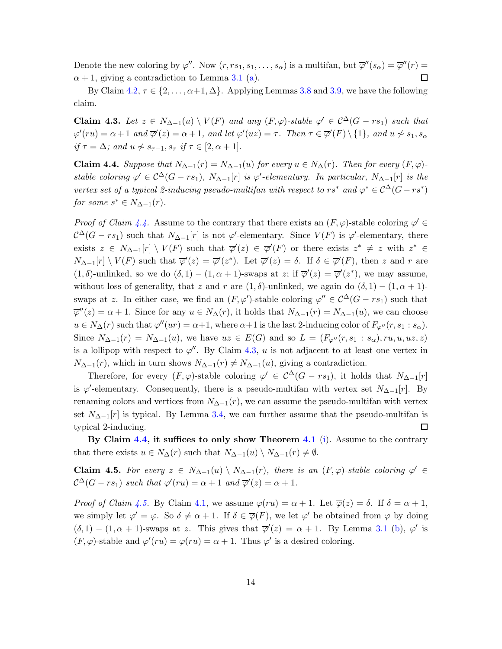Denote the new coloring by  $\varphi''$ . Now  $(r, rs_1, s_1, \ldots, s_\alpha)$  is a multifan, but  $\overline{\varphi}''(s_\alpha) = \overline{\varphi}''(r) =$  $\alpha + 1$ , giving a contradiction to Lemma [3.1](#page-5-0) [\(a\)](#page-5-2). □

By Claim [4.2,](#page-12-0)  $\tau \in \{2, \ldots, \alpha+1, \Delta\}$ . Applying Lemmas [3.8](#page-10-0) and [3.9,](#page-10-1) we have the following claim.

<span id="page-13-1"></span>Claim 4.3. Let  $z \in N_{\Delta-1}(u) \setminus V(F)$  and any  $(F, \varphi)$ -stable  $\varphi' \in C^{\Delta}(G - rs_1)$  such that  $\varphi'(ru) = \alpha + 1$  and  $\overline{\varphi}'(z) = \alpha + 1$ , and let  $\varphi'(uz) = \tau$ . Then  $\tau \in \overline{\varphi}'(F) \setminus \{1\}$ , and  $u \not\sim s_1, s_\alpha$ if  $\tau = \Delta$ ; and  $u \nsim s_{\tau-1}, s_{\tau}$  if  $\tau \in [2, \alpha + 1]$ .

<span id="page-13-0"></span>Claim 4.4. Suppose that  $N_{\Delta-1}(r) = N_{\Delta-1}(u)$  for every  $u \in N_{\Delta}(r)$ . Then for every  $(F, \varphi)$ stable coloring  $\varphi' \in C^{\Delta}(G - rs_1)$ ,  $N_{\Delta-1}[r]$  is  $\varphi'$ -elementary. In particular,  $N_{\Delta-1}[r]$  is the vertex set of a typical 2-inducing pseudo-multifan with respect to  $rs^*$  and  $\varphi^* \in C^{\Delta}(G - rs^*)$ for some  $s^* \in N_{\Delta-1}(r)$ .

Proof of Claim [4.4.](#page-13-0) Assume to the contrary that there exists an  $(F, \varphi)$ -stable coloring  $\varphi' \in$  $\mathcal{C}^{\Delta}(G - rs_1)$  such that  $N_{\Delta-1}[r]$  is not  $\varphi'$ -elementary. Since  $V(F)$  is  $\varphi'$ -elementary, there exists  $z \in N_{\Delta-1}[r] \setminus V(F)$  such that  $\overline{\varphi}'(z) \in \overline{\varphi}'(F)$  or there exists  $z^* \neq z$  with  $z^* \in$  $N_{\Delta-1}[r] \setminus V(F)$  such that  $\overline{\varphi}'(z) = \overline{\varphi}'(z^*)$ . Let  $\overline{\varphi}'(z) = \delta$ . If  $\delta \in \overline{\varphi}'(F)$ , then z and r are  $(1, \delta)$ -unlinked, so we do  $(\delta, 1) - (1, \alpha + 1)$ -swaps at z; if  $\overline{\varphi}'(z) = \overline{\varphi}'(z^*)$ , we may assume, without loss of generality, that z and r are  $(1, \delta)$ -unlinked, we again do  $(\delta, 1) - (1, \alpha + 1)$ swaps at z. In either case, we find an  $(F, \varphi')$ -stable coloring  $\varphi'' \in C^{\Delta}(G - rs_1)$  such that  $\overline{\varphi}''(z) = \alpha + 1$ . Since for any  $u \in N_{\Delta}(r)$ , it holds that  $N_{\Delta-1}(r) = N_{\Delta-1}(u)$ , we can choose  $u \in N_\Delta(r)$  such that  $\varphi''(ur) = \alpha+1$ , where  $\alpha+1$  is the last 2-inducing color of  $F_{\varphi''}(r, s_1 : s_\alpha)$ . Since  $N_{\Delta-1}(r) = N_{\Delta-1}(u)$ , we have  $uz \in E(G)$  and so  $L = (F_{\varphi''}(r, s_1 : s_\alpha), ru, u, uz, z)$ is a lollipop with respect to  $\varphi''$ . By Claim [4.3,](#page-13-1) u is not adjacent to at least one vertex in  $N_{\Delta-1}(r)$ , which in turn shows  $N_{\Delta-1}(r) \neq N_{\Delta-1}(u)$ , giving a contradiction.

Therefore, for every  $(F, \varphi)$ -stable coloring  $\varphi' \in C^{\Delta}(G - rs_1)$ , it holds that  $N_{\Delta-1}[r]$ is  $\varphi'$ -elementary. Consequently, there is a pseudo-multifan with vertex set  $N_{\Delta-1}[r]$ . By renaming colors and vertices from  $N_{\Delta-1}(r)$ , we can assume the pseudo-multifan with vertex set  $N_{\Delta-1}[r]$  is typical. By Lemma [3.4,](#page-8-0) we can further assume that the pseudo-multifan is typical 2-inducing.  $\Box$ 

By Claim [4.4,](#page-13-0) it suffices to only show Theorem [4.1](#page-11-1) [\(i\)](#page-11-2). Assume to the contrary that there exists  $u \in N_{\Delta}(r)$  such that  $N_{\Delta-1}(u) \setminus N_{\Delta-1}(r) \neq \emptyset$ .

<span id="page-13-2"></span>Claim 4.5. For every  $z \in N_{\Delta-1}(u) \setminus N_{\Delta-1}(r)$ , there is an  $(F, \varphi)$ -stable coloring  $\varphi' \in$  $\mathcal{C}^{\Delta}(G - rs_1)$  such that  $\varphi'(ru) = \alpha + 1$  and  $\overline{\varphi}'(z) = \alpha + 1$ .

*Proof of Claim [4.5.](#page-13-2)* By Claim [4.1,](#page-11-0) we assume  $\varphi(ru) = \alpha + 1$ . Let  $\overline{\varphi}(z) = \delta$ . If  $\delta = \alpha + 1$ , we simply let  $\varphi' = \varphi$ . So  $\delta \neq \alpha + 1$ . If  $\delta \in \overline{\varphi}(F)$ , we let  $\varphi'$  be obtained from  $\varphi$  by doing  $(\delta, 1) - (1, \alpha + 1)$ -swaps at z. This gives that  $\overline{\varphi}'(z) = \alpha + 1$ . By Lemma [3.1](#page-5-0) [\(b\)](#page-5-1),  $\varphi'$  is  $(F, \varphi)$ -stable and  $\varphi'(ru) = \varphi(ru) = \alpha + 1$ . Thus  $\varphi'$  is a desired coloring.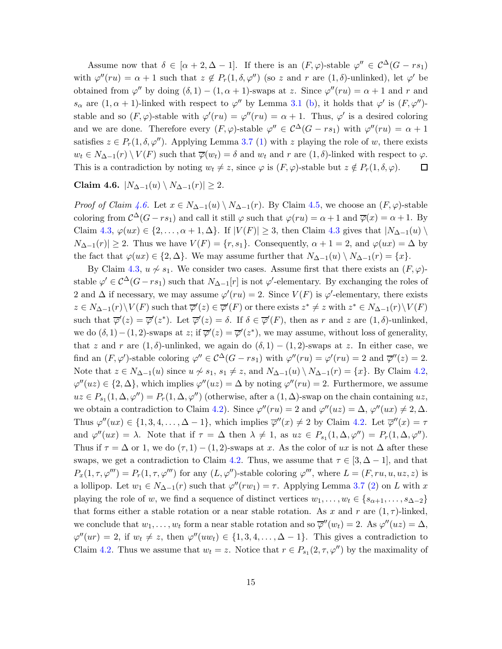Assume now that  $\delta \in [\alpha+2,\Delta-1]$ . If there is an  $(F,\varphi)$ -stable  $\varphi'' \in C^{\Delta}(G-rs_1)$ with  $\varphi''(ru) = \alpha + 1$  such that  $z \notin P_r(1, \delta, \varphi'')$  (so z and r are  $(1, \delta)$ -unlinked), let  $\varphi'$  be obtained from  $\varphi''$  by doing  $(\delta, 1) - (1, \alpha + 1)$ -swaps at z. Since  $\varphi''(ru) = \alpha + 1$  and r and  $s_{\alpha}$  are  $(1, \alpha + 1)$ -linked with respect to  $\varphi''$  by Lemma [3.1](#page-5-0) [\(b\)](#page-5-1), it holds that  $\varphi'$  is  $(F, \varphi'')$ stable and so  $(F, \varphi)$ -stable with  $\varphi'(ru) = \varphi''(ru) = \alpha + 1$ . Thus,  $\varphi'$  is a desired coloring and we are done. Therefore every  $(F, \varphi)$ -stable  $\varphi'' \in C^{\Delta}(G - rs_1)$  with  $\varphi''(ru) = \alpha + 1$ satisfies  $z \in P_r(1, \delta, \varphi'')$ . Applying Lemma [3.7](#page-9-0) [\(1\)](#page-9-1) with z playing the role of w, there exists  $w_t \in N_{\Delta-1}(r) \setminus V(F)$  such that  $\overline{\varphi}(w_t) = \delta$  and  $w_t$  and  $r$  are  $(1, \delta)$ -linked with respect to  $\varphi$ . This is a contradiction by noting  $w_t \neq z$ , since  $\varphi$  is  $(F, \varphi)$ -stable but  $z \notin P_r(1, \delta, \varphi)$ .  $\Box$ 

<span id="page-14-0"></span>Claim 4.6.  $|N_{\Delta-1}(u) \setminus N_{\Delta-1}(r)| \geq 2$ .

*Proof of Claim [4.6.](#page-14-0)* Let  $x \in N_{\Delta-1}(u) \setminus N_{\Delta-1}(r)$ . By Claim [4.5,](#page-13-2) we choose an  $(F, \varphi)$ -stable coloring from  $\mathcal{C}^{\Delta}(G - rs_1)$  and call it still  $\varphi$  such that  $\varphi(ru) = \alpha + 1$  and  $\overline{\varphi}(x) = \alpha + 1$ . By Claim [4.3,](#page-13-1)  $\varphi(ux) \in \{2, ..., \alpha + 1, \Delta\}$ . If  $|V(F)| \geq 3$ , then Claim [4.3](#page-13-1) gives that  $|N_{\Delta-1}(u)|$  $N_{\Delta-1}(r)| \geq 2$ . Thus we have  $V(F) = \{r, s_1\}$ . Consequently,  $\alpha + 1 = 2$ , and  $\varphi(ux) = \Delta$  by the fact that  $\varphi(ux) \in \{2, \Delta\}$ . We may assume further that  $N_{\Delta-1}(u) \setminus N_{\Delta-1}(r) = \{x\}.$ 

By Claim [4.3,](#page-13-1)  $u \nsim s_1$ . We consider two cases. Assume first that there exists an  $(F, \varphi)$ stable  $\varphi' \in C^{\Delta}(G-rs_1)$  such that  $N_{\Delta-1}[r]$  is not  $\varphi'$ -elementary. By exchanging the roles of 2 and  $\Delta$  if necessary, we may assume  $\varphi'(ru) = 2$ . Since  $V(F)$  is  $\varphi'$ -elementary, there exists  $z \in N_{\Delta-1}(r) \setminus V(F)$  such that  $\overline{\varphi}'(z) \in \overline{\varphi}'(F)$  or there exists  $z^* \neq z$  with  $z^* \in N_{\Delta-1}(r) \setminus V(F)$ such that  $\overline{\varphi}'(z) = \overline{\varphi}'(z^*)$ . Let  $\overline{\varphi}'(z) = \delta$ . If  $\delta \in \overline{\varphi}'(F)$ , then as r and z are  $(1, \delta)$ -unlinked, we do  $(\delta, 1) - (1, 2)$ -swaps at z; if  $\overline{\varphi}'(z) = \overline{\varphi}'(z^*)$ , we may assume, without loss of generality, that z and r are  $(1, \delta)$ -unlinked, we again do  $(\delta, 1) - (1, 2)$ -swaps at z. In either case, we find an  $(F, \varphi')$ -stable coloring  $\varphi'' \in C^{\Delta}(G - rs_1)$  with  $\varphi''(ru) = \varphi'(ru) = 2$  and  $\overline{\varphi}''(z) = 2$ . Note that  $z \in N_{\Delta-1}(u)$  since  $u \nsim s_1$ ,  $s_1 \neq z$ , and  $N_{\Delta-1}(u) \setminus N_{\Delta-1}(r) = \{x\}$ . By Claim [4.2,](#page-12-0)  $\varphi''(uz) \in \{2, \Delta\}$ , which implies  $\varphi''(uz) = \Delta$  by noting  $\varphi''(ru) = 2$ . Furthermore, we assume  $uz \in P_{s_1}(1, \Delta, \varphi'') = P_r(1, \Delta, \varphi'')$  (otherwise, after a  $(1, \Delta)$ -swap on the chain containing uz, we obtain a contradiction to Claim [4.2\)](#page-12-0). Since  $\varphi''(ru) = 2$  and  $\varphi''(uz) = \Delta$ ,  $\varphi''(ux) \neq 2, \Delta$ . Thus  $\varphi''(ux) \in \{1, 3, 4, \ldots, \Delta - 1\}$ , which implies  $\overline{\varphi}''(x) \neq 2$  by Claim [4.2.](#page-12-0) Let  $\overline{\varphi}''(x) = \tau$ and  $\varphi''(ux) = \lambda$ . Note that if  $\tau = \Delta$  then  $\lambda \neq 1$ , as  $uz \in P_{s_1}(1, \Delta, \varphi'') = P_r(1, \Delta, \varphi'')$ . Thus if  $\tau = \Delta$  or 1, we do  $(\tau, 1) - (1, 2)$ -swaps at x. As the color of ux is not  $\Delta$  after these swaps, we get a contradiction to Claim [4.2.](#page-12-0) Thus, we assume that  $\tau \in [3, \Delta - 1]$ , and that  $P_x(1, \tau, \varphi^{\prime\prime\prime}) = P_r(1, \tau, \varphi^{\prime\prime\prime})$  for any  $(L, \varphi^{\prime\prime})$ -stable coloring  $\varphi^{\prime\prime\prime}$ , where  $L = (F, ru, u, uz, z)$  is a lollipop. Let  $w_1 \in N_{\Delta-1}(r)$  such that  $\varphi''(rw_1) = \tau$ . Applying Lemma [3.7](#page-9-0) [\(2\)](#page-9-2) on L with x playing the role of w, we find a sequence of distinct vertices  $w_1, \ldots, w_t \in \{s_{\alpha+1}, \ldots, s_{\Delta-2}\}\$ that forms either a stable rotation or a near stable rotation. As x and r are  $(1, \tau)$ -linked, we conclude that  $w_1, \ldots, w_t$  form a near stable rotation and so  $\overline{\varphi}''(w_t) = 2$ . As  $\varphi''(uz) = \Delta$ ,  $\varphi''(ur) = 2$ , if  $w_t \neq z$ , then  $\varphi''(uw_t) \in \{1, 3, 4, \ldots, \Delta - 1\}$ . This gives a contradiction to Claim [4.2.](#page-12-0) Thus we assume that  $w_t = z$ . Notice that  $r \in P_{s_1}(2, \tau, \varphi'')$  by the maximality of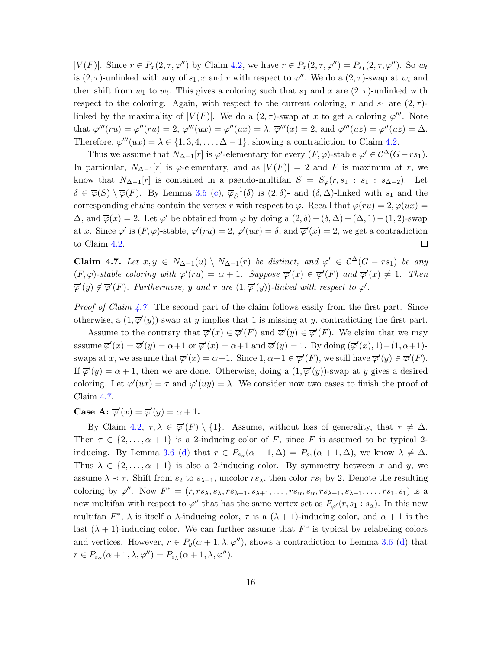$|V(F)|$ . Since  $r \in P_x(2, \tau, \varphi'')$  by Claim [4.2,](#page-12-0) we have  $r \in P_x(2, \tau, \varphi'') = P_{s_1}(2, \tau, \varphi'')$ . So  $w_t$ is  $(2, \tau)$ -unlinked with any of  $s_1, x$  and r with respect to  $\varphi''$ . We do a  $(2, \tau)$ -swap at  $w_t$  and then shift from  $w_1$  to  $w_t$ . This gives a coloring such that  $s_1$  and x are  $(2, \tau)$ -unlinked with respect to the coloring. Again, with respect to the current coloring, r and  $s_1$  are  $(2, \tau)$ linked by the maximality of  $|V(F)|$ . We do a  $(2, \tau)$ -swap at x to get a coloring  $\varphi'''$ . Note that  $\varphi'''(ru) = \varphi''(ru) = 2$ ,  $\varphi'''(ux) = \varphi''(ux) = \lambda$ ,  $\overline{\varphi}'''(x) = 2$ , and  $\varphi'''(uz) = \varphi''(uz) = \Delta$ . Therefore,  $\varphi'''(ux) = \lambda \in \{1, 3, 4, \dots, \Delta - 1\}$ , showing a contradiction to Claim [4.2.](#page-12-0)

Thus we assume that  $N_{\Delta-1}[r]$  is  $\varphi'$ -elementary for every  $(F, \varphi)$ -stable  $\varphi' \in C^{\Delta}(G-rs_1)$ . In particular,  $N_{\Delta-1}[r]$  is  $\varphi$ -elementary, and as  $|V(F)| = 2$  and F is maximum at r, we know that  $N_{\Delta-1}[r]$  is contained in a pseudo-multifan  $S = S_{\varphi}(r, s_1 : s_1 : s_{\Delta-2})$ . Let  $\delta \in \overline{\varphi}(S) \setminus \overline{\varphi}(F)$ . By Lemma [3.5](#page-8-1) [\(c\)](#page-8-2),  $\overline{\varphi}_S^{-1}(\delta)$  is  $(2,\delta)$ - and  $(\delta,\Delta)$ -linked with  $s_1$  and the corresponding chains contain the vertex r with respect to  $\varphi$ . Recall that  $\varphi(ru) = 2, \varphi(ux) =$  $\Delta$ , and  $\overline{\varphi}(x) = 2$ . Let  $\varphi'$  be obtained from  $\varphi$  by doing a  $(2, \delta) - (\delta, \Delta) - (\Delta, 1) - (1, 2)$ -swap at x. Since  $\varphi'$  is  $(F, \varphi)$ -stable,  $\varphi'(ru) = 2$ ,  $\varphi'(ux) = \delta$ , and  $\overline{\varphi}'(x) = 2$ , we get a contradiction to Claim [4.2.](#page-12-0)  $\Box$ 

<span id="page-15-0"></span>Claim 4.7. Let  $x, y \in N_{\Delta-1}(u) \setminus N_{\Delta-1}(r)$  be distinct, and  $\varphi' \in C^{\Delta}(G - rs_1)$  be any  $(F, \varphi)$ -stable coloring with  $\varphi'(ru) = \alpha + 1$ . Suppose  $\overline{\varphi}'(x) \in \overline{\varphi}'(F)$  and  $\overline{\varphi}'(x) \neq 1$ . Then  $\overline{\varphi}'(y) \notin \overline{\varphi}'(F)$ . Furthermore, y and r are  $(1, \overline{\varphi}'(y))$ -linked with respect to  $\varphi'$ .

*Proof of Claim [4.7.](#page-15-0)* The second part of the claim follows easily from the first part. Since otherwise, a  $(1, \overline{\varphi}'(y))$ -swap at y implies that 1 is missing at y, contradicting the first part.

Assume to the contrary that  $\overline{\varphi}'(x) \in \overline{\varphi}'(F)$  and  $\overline{\varphi}'(y) \in \overline{\varphi}'(F)$ . We claim that we may assume  $\overline{\varphi}'(x) = \overline{\varphi}'(y) = \alpha + 1$  or  $\overline{\varphi}'(x) = \alpha + 1$  and  $\overline{\varphi}'(y) = 1$ . By doing  $(\overline{\varphi}'(x), 1) - (1, \alpha + 1)$ swaps at x, we assume that  $\overline{\varphi}'(x) = \alpha + 1$ . Since  $1, \alpha + 1 \in \overline{\varphi}'(F)$ , we still have  $\overline{\varphi}'(y) \in \overline{\varphi}'(F)$ . If  $\overline{\varphi}'(y) = \alpha + 1$ , then we are done. Otherwise, doing a  $(1, \overline{\varphi}'(y))$ -swap at y gives a desired coloring. Let  $\varphi'(ux) = \tau$  and  $\varphi'(uy) = \lambda$ . We consider now two cases to finish the proof of Claim [4.7.](#page-15-0)

# <span id="page-15-1"></span>Case A:  $\overline{\varphi}'(x) = \overline{\varphi}'(y) = \alpha + 1$ .

By Claim [4.2,](#page-12-0)  $\tau, \lambda \in \overline{\varphi}'(F) \setminus \{1\}$ . Assume, without loss of generality, that  $\tau \neq \Delta$ . Then  $\tau \in \{2, ..., \alpha + 1\}$  is a 2-inducing color of F, since F is assumed to be typical 2-inducing. By Lemma [3.6](#page-9-3) [\(d\)](#page-9-5) that  $r \in P_{s_\alpha}(\alpha+1,\Delta) = P_{s_1}(\alpha+1,\Delta)$ , we know  $\lambda \neq \Delta$ . Thus  $\lambda \in \{2, ..., \alpha + 1\}$  is also a 2-inducing color. By symmetry between x and y, we assume  $\lambda \prec \tau$ . Shift from  $s_2$  to  $s_{\lambda-1}$ , uncolor  $rs_{\lambda}$ , then color  $rs_1$  by 2. Denote the resulting coloring by  $\varphi''$ . Now  $F^* = (r, rs_\lambda, s_\lambda, rs_{\lambda+1}, s_{\lambda+1}, \ldots, rs_\alpha, s_\alpha, rs_{\lambda-1}, s_{\lambda-1}, \ldots, rs_1, s_1)$  is a new multifan with respect to  $\varphi''$  that has the same vertex set as  $F_{\varphi'}(r, s_1 : s_\alpha)$ . In this new multifan  $F^*$ ,  $\lambda$  is itself a  $\lambda$ -inducing color,  $\tau$  is a  $(\lambda + 1)$ -inducing color, and  $\alpha + 1$  is the last  $(\lambda + 1)$ -inducing color. We can further assume that  $F^*$  is typical by relabeling colors and vertices. However,  $r \in P_y(\alpha + 1, \lambda, \varphi'')$ , shows a contradiction to Lemma [3.6](#page-9-3) [\(d\)](#page-9-5) that  $r \in P_{s_\alpha}(\alpha + 1, \lambda, \varphi'') = P_{s_\lambda}(\alpha + 1, \lambda, \varphi'').$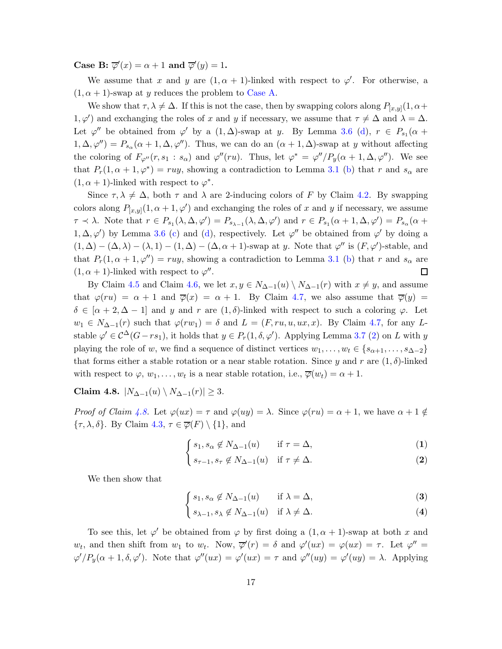Case B:  $\overline{\varphi}'(x) = \alpha + 1$  and  $\overline{\varphi}'(y) = 1$ .

We assume that x and y are  $(1, \alpha + 1)$ -linked with respect to  $\varphi'$ . For otherwise, a  $(1, \alpha + 1)$ -swap at y reduces the problem to [Case A.](#page-15-1)

We show that  $\tau, \lambda \neq \Delta$ . If this is not the case, then by swapping colors along  $P_{[x,y]}(1, \alpha +$  $1, \varphi'$  and exchanging the roles of x and y if necessary, we assume that  $\tau \neq \Delta$  and  $\lambda = \Delta$ . Let  $\varphi''$  be obtained from  $\varphi'$  by a  $(1, \Delta)$ -swap at y. By Lemma [3.6](#page-9-3) [\(d\)](#page-9-5),  $r \in P_{s_1}(\alpha +$  $1, \Delta, \varphi'') = P_{s_\alpha}(\alpha + 1, \Delta, \varphi'')$ . Thus, we can do an  $(\alpha + 1, \Delta)$ -swap at y without affecting the coloring of  $F_{\varphi''}(r, s_1 : s_\alpha)$  and  $\varphi''(ru)$ . Thus, let  $\varphi^* = \varphi''/P_y(\alpha + 1, \Delta, \varphi'')$ . We see that  $P_r(1, \alpha + 1, \varphi^*) = ruy$ , showing a contradiction to Lemma [3.1](#page-5-0) [\(b\)](#page-5-1) that r and  $s_\alpha$  are  $(1, \alpha + 1)$ -linked with respect to  $\varphi^*$ .

Since  $\tau, \lambda \neq \Delta$ , both  $\tau$  and  $\lambda$  are 2-inducing colors of F by Claim [4.2.](#page-12-0) By swapping colors along  $P_{[x,y]}(1, \alpha+1, \varphi')$  and exchanging the roles of x and y if necessary, we assume  $\tau \prec \lambda$ . Note that  $r \in P_{s_1}(\lambda, \Delta, \varphi') = P_{s_{\lambda-1}}(\lambda, \Delta, \varphi')$  and  $r \in P_{s_1}(\alpha+1, \Delta, \varphi') = P_{s_{\alpha}}(\alpha+1, \Delta, \varphi')$ 1,  $\Delta, \varphi'$  by Lemma [3.6](#page-9-3) [\(c\)](#page-9-6) and [\(d\)](#page-9-5), respectively. Let  $\varphi''$  be obtained from  $\varphi'$  by doing a  $(1, \Delta) - (\Delta, \lambda) - (\lambda, 1) - (1, \Delta) - (\Delta, \alpha + 1)$ -swap at y. Note that  $\varphi''$  is  $(F, \varphi')$ -stable, and that  $P_r(1, \alpha + 1, \varphi'') = ruy$ , showing a contradiction to Lemma [3.1](#page-5-0) [\(b\)](#page-5-1) that r and  $s_\alpha$  are  $(1, \alpha + 1)$ -linked with respect to  $\varphi''$ . □

By Claim [4.5](#page-13-2) and Claim [4.6,](#page-14-0) we let  $x, y \in N_{\Delta-1}(u) \setminus N_{\Delta-1}(r)$  with  $x \neq y$ , and assume that  $\varphi(ru) = \alpha + 1$  and  $\overline{\varphi}(x) = \alpha + 1$ . By Claim [4.7,](#page-15-0) we also assume that  $\overline{\varphi}(y) =$  $\delta \in [\alpha + 2, \Delta - 1]$  and y and r are  $(1, \delta)$ -linked with respect to such a coloring  $\varphi$ . Let  $w_1 \in N_{\Delta-1}(r)$  such that  $\varphi(rw_1) = \delta$  and  $L = (F, ru, u, ux, x)$ . By Claim [4.7,](#page-15-0) for any Lstable  $\varphi' \in \mathcal{C}^{\Delta}(G-rs_1)$ , it holds that  $y \in P_r(1,\delta,\varphi')$ . Applying Lemma [3.7](#page-9-0) [\(2\)](#page-9-2) on L with y playing the role of w, we find a sequence of distinct vertices  $w_1, \ldots, w_t \in \{s_{\alpha+1}, \ldots, s_{\Delta-2}\}\$ that forms either a stable rotation or a near stable rotation. Since y and r are  $(1, \delta)$ -linked with respect to  $\varphi, w_1, \ldots, w_t$  is a near stable rotation, i.e.,  $\overline{\varphi}(w_t) = \alpha + 1$ .

<span id="page-16-0"></span>Claim 4.8.  $|N_{\Delta-1}(u) \setminus N_{\Delta-1}(r)| \geq 3$ .

Proof of Claim [4.8.](#page-16-0) Let  $\varphi(ux) = \tau$  and  $\varphi(uy) = \lambda$ . Since  $\varphi(ru) = \alpha + 1$ , we have  $\alpha + 1 \notin$  $\{\tau, \lambda, \delta\}$ . By Claim [4.3,](#page-13-1)  $\tau \in \overline{\varphi}(F) \setminus \{1\}$ , and

$$
\begin{cases} s_1, s_\alpha \notin N_{\Delta - 1}(u) & \text{if } \tau = \Delta, \end{cases}
$$
 (1)

$$
(2) \quad s_{\tau-1}, s_{\tau} \notin N_{\Delta-1}(u) \quad \text{if } \tau \neq \Delta.
$$

<span id="page-16-2"></span><span id="page-16-1"></span>We then show that

$$
\begin{cases} s_1, s_\alpha \notin N_{\Delta - 1}(u) & \text{if } \lambda = \Delta, \end{cases}
$$
 (3)

$$
(4) \quad s_{\lambda-1}, s_{\lambda} \notin N_{\Delta-1}(u) \quad \text{if } \lambda \neq \Delta.
$$

To see this, let  $\varphi'$  be obtained from  $\varphi$  by first doing a  $(1, \alpha + 1)$ -swap at both x and w<sub>t</sub>, and then shift from  $w_1$  to  $w_t$ . Now,  $\overline{\varphi}'(r) = \delta$  and  $\varphi'(ux) = \varphi(ux) = \tau$ . Let  $\varphi'' =$  $\varphi'/P_y(\alpha+1,\delta,\varphi')$ . Note that  $\varphi''(ux) = \varphi'(ux) = \tau$  and  $\varphi''(uy) = \varphi'(uy) = \lambda$ . Applying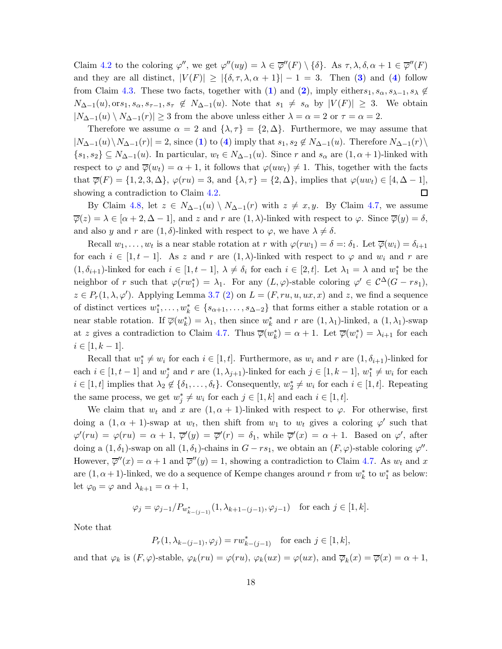Claim [4.2](#page-12-0) to the coloring  $\varphi''$ , we get  $\varphi''(uy) = \lambda \in \overline{\varphi}''(F) \setminus {\delta}.$  As  $\tau, \lambda, \delta, \alpha + 1 \in \overline{\varphi}''(F)$ and they are all distinct,  $|V(F)| \geq |\{\delta, \tau, \lambda, \alpha + 1\}| - 1 = 3$  $|V(F)| \geq |\{\delta, \tau, \lambda, \alpha + 1\}| - 1 = 3$ . Then (3) and ([4](#page-16-1)) follow from Claim [4.3.](#page-13-1) These two facts, together with ([1](#page-16-2)) and ([2](#page-16-2)), imply eithers<sub>1</sub>,  $s_{\alpha}, s_{\lambda-1}, s_{\lambda} \notin$  $N_{\Delta-1}(u)$ , ors<sub>1</sub>, s<sub>α</sub>, s<sub>τ</sub>-1, s<sub>τ</sub>  $\notin N_{\Delta-1}(u)$ . Note that s<sub>1</sub>  $\neq s_{\alpha}$  by  $|V(F)| \geq 3$ . We obtain  $|N_{\Delta-1}(u) \setminus N_{\Delta-1}(r)| \geq 3$  from the above unless either  $\lambda = \alpha = 2$  or  $\tau = \alpha = 2$ .

Therefore we assume  $\alpha = 2$  and  $\{\lambda, \tau\} = \{2, \Delta\}$ . Furthermore, we may assume that  $|N_{\Delta-1}(u)\setminus N_{\Delta-1}(r)|=2$  $|N_{\Delta-1}(u)\setminus N_{\Delta-1}(r)|=2$  $|N_{\Delta-1}(u)\setminus N_{\Delta-1}(r)|=2$ , since (1) to ([4](#page-16-1)) imply that  $s_1, s_2 \notin N_{\Delta-1}(u)$ . Therefore  $N_{\Delta-1}(r)\setminus$  $\{s_1, s_2\} \subseteq N_{\Delta-1}(u)$ . In particular,  $w_t \in N_{\Delta-1}(u)$ . Since r and  $s_\alpha$  are  $(1, \alpha + 1)$ -linked with respect to  $\varphi$  and  $\overline{\varphi}(w_t) = \alpha + 1$ , it follows that  $\varphi(uw_t) \neq 1$ . This, together with the facts that  $\overline{\varphi}(F) = \{1, 2, 3, \Delta\}, \varphi(ru) = 3$ , and  $\{\lambda, \tau\} = \{2, \Delta\},$  implies that  $\varphi(uw_t) \in [4, \Delta - 1],$ showing a contradiction to Claim [4.2.](#page-12-0)  $\Box$ 

By Claim [4.8,](#page-16-0) let  $z \in N_{\Delta-1}(u) \setminus N_{\Delta-1}(r)$  with  $z \neq x, y$ . By Claim [4.7,](#page-15-0) we assume  $\overline{\varphi}(z) = \lambda \in [\alpha + 2, \Delta - 1],$  and z and r are  $(1, \lambda)$ -linked with respect to  $\varphi$ . Since  $\overline{\varphi}(y) = \delta$ , and also y and r are  $(1, \delta)$ -linked with respect to  $\varphi$ , we have  $\lambda \neq \delta$ .

Recall  $w_1, \ldots, w_t$  is a near stable rotation at r with  $\varphi(rw_1) = \delta =: \delta_1$ . Let  $\overline{\varphi}(w_i) = \delta_{i+1}$ for each  $i \in [1, t-1]$ . As z and r are  $(1, \lambda)$ -linked with respect to  $\varphi$  and  $w_i$  and r are  $(1, \delta_{i+1})$ -linked for each  $i \in [1, t-1], \lambda \neq \delta_i$  for each  $i \in [2, t]$ . Let  $\lambda_1 = \lambda$  and  $w_1^*$  be the neighbor of r such that  $\varphi(rw_1^*) = \lambda_1$ . For any  $(L, \varphi)$ -stable coloring  $\varphi' \in C^{\Delta}(G - rs_1)$ ,  $z \in P_r(1, \lambda, \varphi')$ . Applying Lemma [3.7](#page-9-0) [\(2\)](#page-9-2) on  $L = (F, ru, u, ux, x)$  and z, we find a sequence of distinct vertices  $w_1^*, \ldots, w_k^* \in \{s_{\alpha+1}, \ldots, s_{\Delta-2}\}\$  that forms either a stable rotation or a near stable rotation. If  $\overline{\varphi}(w_k^*) = \lambda_1$ , then since  $w_k^*$  and r are  $(1, \lambda_1)$ -linked, a  $(1, \lambda_1)$ -swap at z gives a contradiction to Claim [4.7.](#page-15-0) Thus  $\overline{\varphi}(w_k^*) = \alpha + 1$ . Let  $\overline{\varphi}(w_i^*) = \lambda_{i+1}$  for each  $i \in [1, k - 1].$ 

Recall that  $w_1^* \neq w_i$  for each  $i \in [1, t]$ . Furthermore, as  $w_i$  and r are  $(1, \delta_{i+1})$ -linked for each  $i \in [1, t-1]$  and  $w_j^*$  and  $r$  are  $(1, \lambda_{j+1})$ -linked for each  $j \in [1, k-1]$ ,  $w_1^* \neq w_i$  for each  $i \in [1, t]$  implies that  $\lambda_2 \notin \{\delta_1, \ldots, \delta_t\}$ . Consequently,  $w_2^* \neq w_i$  for each  $i \in [1, t]$ . Repeating the same process, we get  $w_j^* \neq w_i$  for each  $j \in [1, k]$  and each  $i \in [1, t]$ .

We claim that  $w_t$  and x are  $(1, \alpha + 1)$ -linked with respect to  $\varphi$ . For otherwise, first doing a  $(1, \alpha + 1)$ -swap at  $w_t$ , then shift from  $w_1$  to  $w_t$  gives a coloring  $\varphi'$  such that  $\varphi'(ru) = \varphi(ru) = \alpha + 1$ ,  $\overline{\varphi}'(y) = \overline{\varphi}'(r) = \delta_1$ , while  $\overline{\varphi}'(x) = \alpha + 1$ . Based on  $\varphi'$ , after doing a  $(1, \delta_1)$ -swap on all  $(1, \delta_1)$ -chains in  $G - rs_1$ , we obtain an  $(F, \varphi)$ -stable coloring  $\varphi''$ . However,  $\overline{\varphi}''(x) = \alpha + 1$  and  $\overline{\varphi}''(y) = 1$ , showing a contradiction to Claim [4.7.](#page-15-0) As  $w_t$  and x are  $(1, \alpha + 1)$ -linked, we do a sequence of Kempe changes around r from  $w_k^*$  to  $w_1^*$  as below: let  $\varphi_0 = \varphi$  and  $\lambda_{k+1} = \alpha + 1$ ,

$$
\varphi_j = \varphi_{j-1}/P_{w^*_{k-(j-1)}}(1, \lambda_{k+1-(j-1)}, \varphi_{j-1})
$$
 for each  $j \in [1, k]$ .

Note that

 $P_r(1, \lambda_{k-(j-1)}, \varphi_j) = rw_{k-(j-1)}^*$  for each  $j \in [1, k],$ 

and that  $\varphi_k$  is  $(F, \varphi)$ -stable,  $\varphi_k(ru) = \varphi(ru)$ ,  $\varphi_k(ux) = \varphi(ux)$ , and  $\overline{\varphi}_k(x) = \overline{\varphi}(x) = \alpha + 1$ ,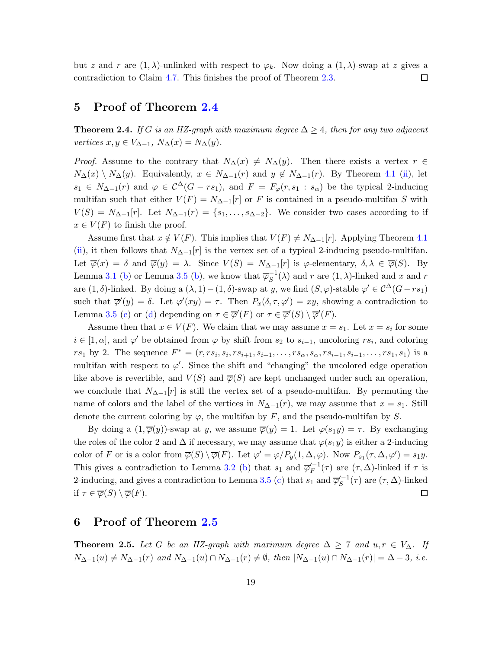but z and r are  $(1, \lambda)$ -unlinked with respect to  $\varphi_k$ . Now doing a  $(1, \lambda)$ -swap at z gives a contradiction to Claim [4.7.](#page-15-0) This finishes the proof of Theorem [2.3.](#page-2-0) 口

# 5 Proof of Theorem [2.4](#page-2-4)

**Theorem 2.4.** If G is an HZ-graph with maximum degree  $\Delta \geq 4$ , then for any two adjacent vertices  $x, y \in V_{\Delta-1}$ ,  $N_{\Delta}(x) = N_{\Delta}(y)$ .

*Proof.* Assume to the contrary that  $N_{\Delta}(x) \neq N_{\Delta}(y)$ . Then there exists a vertex  $r \in$  $N_{\Delta}(x) \setminus N_{\Delta}(y)$ . Equivalently,  $x \in N_{\Delta-1}(r)$  and  $y \notin N_{\Delta-1}(r)$ . By Theorem [4.1](#page-11-1) [\(ii\)](#page-11-3), let  $s_1 \in N_{\Delta-1}(r)$  and  $\varphi \in C^{\Delta}(G - rs_1)$ , and  $F = F_{\varphi}(r, s_1 : s_{\alpha})$  be the typical 2-inducing multifan such that either  $V(F) = N_{\Delta-1}[r]$  or F is contained in a pseudo-multifan S with  $V(S) = N_{\Delta-1}[r]$ . Let  $N_{\Delta-1}(r) = \{s_1, \ldots, s_{\Delta-2}\}\.$  We consider two cases according to if  $x \in V(F)$  to finish the proof.

Assume first that  $x \notin V(F)$ . This implies that  $V(F) \neq N_{\Delta-1}[r]$ . Applying Theorem [4.1](#page-11-1) [\(ii\)](#page-11-3), it then follows that  $N_{\Delta-1}[r]$  is the vertex set of a typical 2-inducing pseudo-multifan. Let  $\overline{\varphi}(x) = \delta$  and  $\overline{\varphi}(y) = \lambda$ . Since  $V(S) = N_{\Delta-1}[r]$  is  $\varphi$ -elementary,  $\delta, \lambda \in \overline{\varphi}(S)$ . By Lemma [3.1](#page-5-0) [\(b\)](#page-8-3) or Lemma [3.5](#page-8-1) (b), we know that  $\overline{\varphi}_S^{-1}(\lambda)$  and r are  $(1, \lambda)$ -linked and x and r are  $(1, \delta)$ -linked. By doing a  $(\lambda, 1) - (1, \delta)$ -swap at y, we find  $(S, \varphi)$ -stable  $\varphi' \in C^{\Delta}(G - rs_1)$ such that  $\overline{\varphi}'(y) = \delta$ . Let  $\varphi'(xy) = \tau$ . Then  $P_x(\delta, \tau, \varphi') = xy$ , showing a contradiction to Lemma [3.5](#page-8-1) [\(c\)](#page-8-2) or [\(d\)](#page-8-4) depending on  $\tau \in \overline{\varphi}'(F)$  or  $\tau \in \overline{\varphi}'(S) \setminus \overline{\varphi}'(F)$ .

Assume then that  $x \in V(F)$ . We claim that we may assume  $x = s_1$ . Let  $x = s_i$  for some  $i \in [1, \alpha]$ , and  $\varphi'$  be obtained from  $\varphi$  by shift from  $s_2$  to  $s_{i-1}$ , uncoloring  $rs_i$ , and coloring  $rs_1$  by 2. The sequence  $F^* = (r, rs_i, s_i, rs_{i+1}, s_{i+1}, \ldots, rs_\alpha, s_\alpha, rs_{i-1}, s_{i-1}, \ldots, rs_1, s_1)$  is a multifan with respect to  $\varphi'$ . Since the shift and "changing" the uncolored edge operation like above is revertible, and  $V(S)$  and  $\overline{\varphi}(S)$  are kept unchanged under such an operation, we conclude that  $N_{\Delta-1}[r]$  is still the vertex set of a pseudo-multifan. By permuting the name of colors and the label of the vertices in  $N_{\Delta-1}(r)$ , we may assume that  $x = s_1$ . Still denote the current coloring by  $\varphi$ , the multifan by F, and the pseudo-multifan by S.

By doing a  $(1,\overline{\varphi}(y))$ -swap at y, we assume  $\overline{\varphi}(y) = 1$ . Let  $\varphi(s_1y) = \tau$ . By exchanging the roles of the color 2 and  $\Delta$  if necessary, we may assume that  $\varphi(s_1y)$  is either a 2-inducing color of F or is a color from  $\overline{\varphi}(S) \setminus \overline{\varphi}(F)$ . Let  $\varphi' = \varphi/P_y(1, \Delta, \varphi)$ . Now  $P_{s_1}(\tau, \Delta, \varphi') = s_1 y$ . This gives a contradiction to Lemma [3.2](#page-5-3) [\(b\)](#page-6-0) that  $s_1$  and  $\overline{\varphi}'^{-1}_F(\tau)$  are  $(\tau, \Delta)$ -linked if  $\tau$  is 2-inducing, and gives a contradiction to Lemma [3.5](#page-8-1) [\(c\)](#page-8-2) that  $s_1$  and  $\overline{\varphi}'^{-1}_S(\tau)$  are  $(\tau, \Delta)$ -linked if  $\tau \in \overline{\varphi}(S) \setminus \overline{\varphi}(F)$ . □

### 6 Proof of Theorem [2.5](#page-2-1)

**Theorem 2.5.** Let G be an HZ-graph with maximum degree  $\Delta \geq 7$  and  $u, r \in V_{\Delta}$ . If  $N_{\Delta-1}(u) \neq N_{\Delta-1}(r)$  and  $N_{\Delta-1}(u) \cap N_{\Delta-1}(r) \neq \emptyset$ , then  $|N_{\Delta-1}(u) \cap N_{\Delta-1}(r)| = \Delta - 3$ , i.e.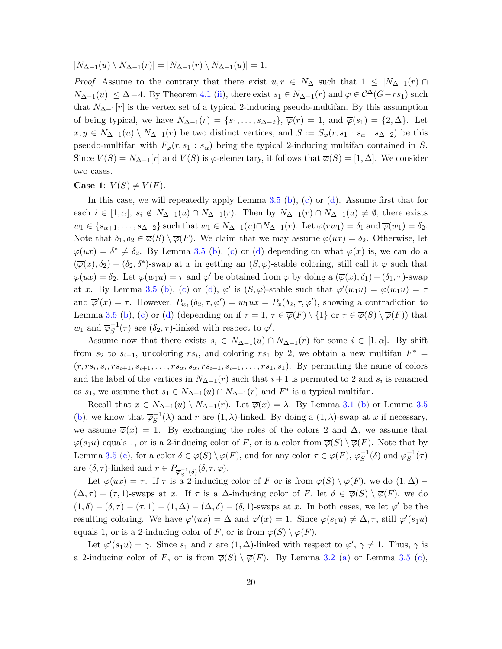$|N_{\Delta-1}(u) \setminus N_{\Delta-1}(r)| = |N_{\Delta-1}(r) \setminus N_{\Delta-1}(u)| = 1.$ 

*Proof.* Assume to the contrary that there exist  $u, r \in N_\Delta$  such that  $1 \leq |N_{\Delta-1}(r)|$  $N_{\Delta-1}(u) \leq \Delta-4$ . By Theorem [4.1](#page-11-1) [\(ii\)](#page-11-3), there exist  $s_1 \in N_{\Delta-1}(r)$  and  $\varphi \in C^{\Delta}(G-rs_1)$  such that  $N_{\Delta-1}[r]$  is the vertex set of a typical 2-inducing pseudo-multifan. By this assumption of being typical, we have  $N_{\Delta-1}(r) = \{s_1, \ldots, s_{\Delta-2}\}, \overline{\varphi}(r) = 1$ , and  $\overline{\varphi}(s_1) = \{2, \Delta\}.$  Let  $x, y \in N_{\Delta-1}(u) \setminus N_{\Delta-1}(r)$  be two distinct vertices, and  $S := S_{\varphi}(r, s_1 : s_{\alpha} : s_{\Delta-2})$  be this pseudo-multifan with  $F_{\varphi}(r, s_1 : s_{\alpha})$  being the typical 2-inducing multifan contained in S. Since  $V(S) = N_{\Delta-1}[r]$  and  $V(S)$  is  $\varphi$ -elementary, it follows that  $\overline{\varphi}(S) = [1, \Delta]$ . We consider two cases.

### Case 1:  $V(S) \neq V(F)$ .

In this case, we will repeatedly apply Lemma [3.5](#page-8-1) [\(b\)](#page-8-3), [\(c\)](#page-8-2) or [\(d\)](#page-8-4). Assume first that for each  $i \in [1, \alpha], s_i \notin N_{\Delta-1}(u) \cap N_{\Delta-1}(r)$ . Then by  $N_{\Delta-1}(r) \cap N_{\Delta-1}(u) \neq \emptyset$ , there exists  $w_1 \in \{s_{\alpha+1}, \ldots, s_{\Delta-2}\}\$  such that  $w_1 \in N_{\Delta-1}(u) \cap N_{\Delta-1}(r)$ . Let  $\varphi(rw_1) = \delta_1$  and  $\overline{\varphi}(w_1) = \delta_2$ . Note that  $\delta_1, \delta_2 \in \overline{\varphi}(S) \setminus \overline{\varphi}(F)$ . We claim that we may assume  $\varphi(ux) = \delta_2$ . Otherwise, let  $\varphi(ux) = \delta^* \neq \delta_2$ . By Lemma [3.5](#page-8-1) [\(b\)](#page-8-3), [\(c\)](#page-8-2) or [\(d\)](#page-8-4) depending on what  $\overline{\varphi}(x)$  is, we can do a  $(\overline{\varphi}(x), \delta_2) - (\delta_2, \delta^*)$ -swap at x in getting an  $(S, \varphi)$ -stable coloring, still call it  $\varphi$  such that  $\varphi(ux) = \delta_2$ . Let  $\varphi(w_1u) = \tau$  and  $\varphi'$  be obtained from  $\varphi$  by doing a  $(\overline{\varphi}(x), \delta_1) - (\delta_1, \tau)$ -swap at x. By Lemma [3.5](#page-8-1) [\(b\)](#page-8-3), [\(c\)](#page-8-2) or [\(d\)](#page-8-4),  $\varphi'$  is  $(S, \varphi)$ -stable such that  $\varphi'(w_1u) = \varphi(w_1u) = \tau$ and  $\overline{\varphi}'(x) = \tau$ . However,  $P_{w_1}(\delta_2, \tau, \varphi') = w_1 u x = P_x(\delta_2, \tau, \varphi')$ , showing a contradiction to Lemma [3.5](#page-8-1) [\(b\)](#page-8-3), [\(c\)](#page-8-2) or [\(d\)](#page-8-4) (depending on if  $\tau = 1$ ,  $\tau \in \overline{\varphi}(F) \setminus \{1\}$  or  $\tau \in \overline{\varphi}(S) \setminus \overline{\varphi}(F)$ ) that  $w_1$  and  $\overline{\varphi}_S^{-1}(\tau)$  are  $(\delta_2, \tau)$ -linked with respect to  $\varphi'$ .

Assume now that there exists  $s_i \in N_{\Delta-1}(u) \cap N_{\Delta-1}(r)$  for some  $i \in [1, \alpha]$ . By shift from  $s_2$  to  $s_{i-1}$ , uncoloring  $rs_i$ , and coloring  $rs_1$  by 2, we obtain a new multifan  $F^*$  =  $(r, rs_i, s_i, rs_{i+1}, s_{i+1}, \ldots, rs_{\alpha}, s_{\alpha}, rs_{i-1}, s_{i-1}, \ldots, rs_1, s_1)$ . By permuting the name of colors and the label of the vertices in  $N_{\Delta-1}(r)$  such that  $i+1$  is permuted to 2 and  $s_i$  is renamed as  $s_1$ , we assume that  $s_1 \in N_{\Delta-1}(u) \cap N_{\Delta-1}(r)$  and  $F^*$  is a typical multifan.

Recall that  $x \in N_{\Delta-1}(u) \setminus N_{\Delta-1}(r)$ . Let  $\overline{\varphi}(x) = \lambda$ . By Lemma [3.1](#page-5-0) [\(b\)](#page-5-1) or Lemma [3.5](#page-8-1) [\(b\)](#page-8-3), we know that  $\overline{\varphi}_S^{-1}(\lambda)$  and r are  $(1, \lambda)$ -linked. By doing a  $(1, \lambda)$ -swap at x if necessary, we assume  $\overline{\varphi}(x) = 1$ . By exchanging the roles of the colors 2 and  $\Delta$ , we assume that  $\varphi(s_1u)$  equals 1, or is a 2-inducing color of F, or is a color from  $\overline{\varphi}(S) \setminus \overline{\varphi}(F)$ . Note that by Lemma [3.5](#page-8-1) [\(c\)](#page-8-2), for a color  $\delta \in \overline{\varphi}(S) \setminus \overline{\varphi}(F)$ , and for any color  $\tau \in \overline{\varphi}(F)$ ,  $\overline{\varphi}_S^{-1}(\delta)$  and  $\overline{\varphi}_S^{-1}(\tau)$ are  $(\delta, \tau)$ -linked and  $r \in P_{\overline{\varphi}_S^{-1}(\delta)}(\delta, \tau, \varphi)$ .

Let  $\varphi(ux) = \tau$ . If  $\tau$  is a 2-inducing color of F or is from  $\overline{\varphi}(S) \setminus \overline{\varphi}(F)$ , we do  $(1, \Delta)$  –  $(\Delta, \tau)$  –  $(\tau, 1)$ -swaps at x. If  $\tau$  is a  $\Delta$ -inducing color of F, let  $\delta \in \overline{\varphi}(S) \setminus \overline{\varphi}(F)$ , we do  $(1,\delta) - (\delta,\tau) - (\tau,1) - (1,\Delta) - (\Delta,\delta) - (\delta,1)$ -swaps at x. In both cases, we let  $\varphi'$  be the resulting coloring. We have  $\varphi'(ux) = \Delta$  and  $\overline{\varphi}'(x) = 1$ . Since  $\varphi(s_1u) \neq \Delta, \tau$ , still  $\varphi'(s_1u)$ equals 1, or is a 2-inducing color of F, or is from  $\overline{\varphi}(S) \setminus \overline{\varphi}(F)$ .

Let  $\varphi'(s_1u) = \gamma$ . Since  $s_1$  and r are  $(1,\Delta)$ -linked with respect to  $\varphi', \gamma \neq 1$ . Thus,  $\gamma$  is a 2-inducing color of F, or is from  $\overline{\varphi}(S) \setminus \overline{\varphi}(F)$ . By Lemma [3.2](#page-5-3) [\(a\)](#page-6-1) or Lemma [3.5](#page-8-1) [\(c\)](#page-8-2),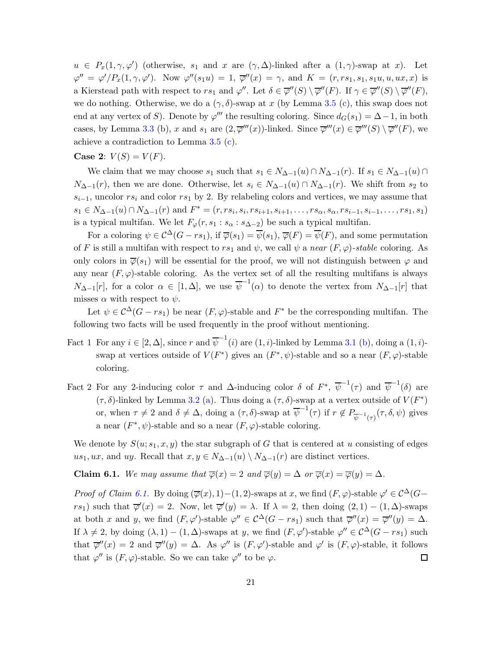$u \in P_x(1, \gamma, \varphi')$  (otherwise,  $s_1$  and x are  $(\gamma, \Delta)$ -linked after a  $(1, \gamma)$ -swap at x). Let  $\varphi'' = \varphi' / P_x(1, \gamma, \varphi')$ . Now  $\varphi''(s_1u) = 1$ ,  $\overline{\varphi}''(x) = \gamma$ , and  $K = (r, rs_1, s_1, s_1u, u, ux, x)$  is a Kierstead path with respect to  $rs_1$  and  $\varphi''$ . Let  $\delta \in \overline{\varphi}''(S) \setminus \overline{\varphi}''(F)$ . If  $\gamma \in \overline{\varphi}''(S) \setminus \overline{\varphi}''(F)$ , we do nothing. Otherwise, we do a  $(\gamma, \delta)$ -swap at x (by Lemma [3.5](#page-8-1) [\(c\)](#page-8-2), this swap does not end at any vertex of S). Denote by  $\varphi'''$  the resulting coloring. Since  $d_G(s_1) = \Delta - 1$ , in both cases, by Lemma [3.3](#page-6-2) (b), x and  $s_1$  are  $(2, \overline{\varphi}'''(x))$ -linked. Since  $\overline{\varphi}'''(x) \in \overline{\varphi}'''(S) \setminus \overline{\varphi}''(F)$ , we achieve a contradiction to Lemma [3.5](#page-8-1) [\(c\)](#page-8-2).

**Case 2:**  $V(S) = V(F)$ .

We claim that we may choose  $s_1$  such that  $s_1 \in N_{\Delta-1}(u) \cap N_{\Delta-1}(r)$ . If  $s_1 \in N_{\Delta-1}(u) \cap$  $N_{\Delta-1}(r)$ , then we are done. Otherwise, let  $s_i \in N_{\Delta-1}(u) \cap N_{\Delta-1}(r)$ . We shift from  $s_2$  to  $s_{i-1}$ , uncolor  $rs_i$  and color  $rs_1$  by 2. By relabeling colors and vertices, we may assume that  $s_1 \in N_{\Delta-1}(u) \cap N_{\Delta-1}(r)$  and  $F^* = (r, rs_i, s_i, rs_{i+1}, s_{i+1}, \ldots, rs_\alpha, s_\alpha, rs_{i-1}, s_{i-1}, \ldots, rs_1, s_1)$ is a typical multifan. We let  $F_{\varphi}(r, s_1 : s_{\alpha} : s_{\Delta-2})$  be such a typical multifan.

For a coloring  $\psi \in C^{\Delta}(G - rs_1)$ , if  $\overline{\varphi}(s_1) = \overline{\psi}(s_1)$ ,  $\overline{\varphi}(F) = \overline{\psi}(F)$ , and some permutation of F is still a multifan with respect to rs<sub>1</sub> and  $\psi$ , we call  $\psi$  a near  $(F, \varphi)$ -stable coloring. As only colors in  $\overline{\varphi}(s_1)$  will be essential for the proof, we will not distinguish between  $\varphi$  and any near  $(F, \varphi)$ -stable coloring. As the vertex set of all the resulting multifans is always  $N_{\Delta-1}[r]$ , for a color  $\alpha \in [1, \Delta]$ , we use  $\overline{\psi}^{-1}(\alpha)$  to denote the vertex from  $N_{\Delta-1}[r]$  that misses  $\alpha$  with respect to  $\psi$ .

Let  $\psi \in C^{\Delta}(G - rs_1)$  be near  $(F, \varphi)$ -stable and  $F^*$  be the corresponding multifan. The following two facts will be used frequently in the proof without mentioning.

- Fact 1 For any  $i \in [2, \Delta]$ , since r and  $\overline{\psi}^{-1}(i)$  are  $(1, i)$ -linked by Lemma [3.1](#page-5-0) [\(b\)](#page-5-1), doing a  $(1, i)$ swap at vertices outside of  $V(F^*)$  gives an  $(F^*, \psi)$ -stable and so a near  $(F, \varphi)$ -stable coloring.
- Fact 2 For any 2-inducing color  $\tau$  and  $\Delta$ -inducing color  $\delta$  of  $F^*, \overline{\psi}^{-1}(\tau)$  and  $\overline{\psi}^{-1}(\delta)$  are  $(\tau, \delta)$ -linked by Lemma [3.2](#page-5-3) [\(a\)](#page-6-1). Thus doing a  $(\tau, \delta)$ -swap at a vertex outside of  $V(F^*)$ or, when  $\tau \neq 2$  and  $\delta \neq \Delta$ , doing a  $(\tau, \delta)$ -swap at  $\overline{\psi}^{-1}(\tau)$  if  $r \notin P_{\overline{\psi}^{-1}(\tau)}(\tau, \delta, \psi)$  gives a near  $(F^*, \psi)$ -stable and so a near  $(F, \varphi)$ -stable coloring.

We denote by  $S(u; s_1, x, y)$  the star subgraph of G that is centered at u consisting of edges us<sub>1</sub>, ux, and uy. Recall that  $x, y \in N_{\Delta-1}(u) \setminus N_{\Delta-1}(r)$  are distinct vertices.

<span id="page-20-0"></span>Claim 6.1. We may assume that  $\overline{\varphi}(x) = 2$  and  $\overline{\varphi}(y) = \Delta$  or  $\overline{\varphi}(x) = \overline{\varphi}(y) = \Delta$ .

*Proof of Claim [6.1.](#page-20-0)* By doing  $(\overline{\varphi}(x), 1) - (1, 2)$ -swaps at x, we find  $(F, \varphi)$ -stable  $\varphi' \in C^{\Delta}(G$ rs<sub>1</sub>) such that  $\overline{\varphi}'(x) = 2$ . Now, let  $\overline{\varphi}'(y) = \lambda$ . If  $\lambda = 2$ , then doing  $(2, 1) - (1, \Delta)$ -swaps at both x and y, we find  $(F, \varphi')$ -stable  $\varphi'' \in C^{\Delta}(G - rs_1)$  such that  $\overline{\varphi}''(x) = \overline{\varphi}''(y) = \Delta$ . If  $\lambda \neq 2$ , by doing  $(\lambda, 1) - (1, \Delta)$ -swaps at y, we find  $(F, \varphi')$ -stable  $\varphi'' \in C^{\Delta}(G - rs_1)$  such that  $\overline{\varphi}''(x) = 2$  and  $\overline{\varphi}''(y) = \Delta$ . As  $\varphi''$  is  $(F, \varphi')$ -stable and  $\varphi'$  is  $(F, \varphi)$ -stable, it follows that  $\varphi''$  is  $(F, \varphi)$ -stable. So we can take  $\varphi''$  to be  $\varphi$ .  $\Box$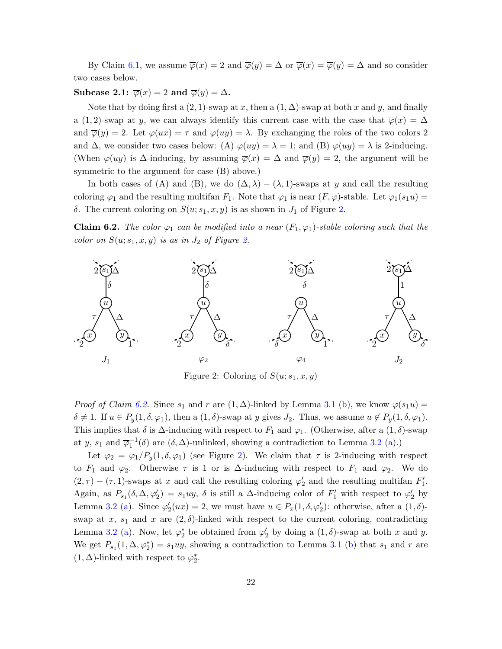By Claim [6.1,](#page-20-0) we assume  $\overline{\varphi}(x) = 2$  and  $\overline{\varphi}(y) = \Delta$  or  $\overline{\varphi}(x) = \overline{\varphi}(y) = \Delta$  and so consider two cases below.

### <span id="page-21-2"></span>Subcase 2.1:  $\overline{\varphi}(x) = 2$  and  $\overline{\varphi}(y) = \Delta$ .

Note that by doing first a  $(2, 1)$ -swap at x, then a  $(1, \Delta)$ -swap at both x and y, and finally a (1, 2)-swap at y, we can always identify this current case with the case that  $\overline{\varphi}(x) = \Delta$ and  $\overline{\varphi}(y) = 2$ . Let  $\varphi(ux) = \tau$  and  $\varphi(uy) = \lambda$ . By exchanging the roles of the two colors 2 and  $\Delta$ , we consider two cases below: (A)  $\varphi(uy) = \lambda = 1$ ; and (B)  $\varphi(uy) = \lambda$  is 2-inducing. (When  $\varphi(uy)$  is  $\Delta$ -inducing, by assuming  $\overline{\varphi}(x) = \Delta$  and  $\overline{\varphi}(y) = 2$ , the argument will be symmetric to the argument for case (B) above.)

In both cases of (A) and (B), we do  $(\Delta, \lambda) - (\lambda, 1)$ -swaps at y and call the resulting coloring  $\varphi_1$  and the resulting multifan  $F_1$ . Note that  $\varphi_1$  is near  $(F, \varphi)$ -stable. Let  $\varphi_1(s_1u)$  = δ. The current coloring on  $S(u; s_1, x, y)$  is as shown in  $J_1$  of Figure [2.](#page-21-0)

<span id="page-21-1"></span>**Claim 6.2.** The color  $\varphi_1$  can be modified into a near  $(F_1, \varphi_1)$ -stable coloring such that the color on  $S(u; s_1, x, y)$  is as in  $J_2$  of Figure [2.](#page-21-0)



<span id="page-21-0"></span>Figure 2: Coloring of  $S(u; s_1, x, y)$ 

*Proof of Claim [6.2.](#page-21-1)* Since  $s_1$  and r are  $(1, \Delta)$ -linked by Lemma [3.1](#page-5-0) [\(b\)](#page-5-1), we know  $\varphi(s_1u)$  =  $\delta \neq 1$ . If  $u \in P_y(1, \delta, \varphi_1)$ , then a  $(1, \delta)$ -swap at y gives  $J_2$ . Thus, we assume  $u \notin P_y(1, \delta, \varphi_1)$ . This implies that  $\delta$  is  $\Delta$ -inducing with respect to  $F_1$  and  $\varphi_1$ . (Otherwise, after a  $(1, \delta)$ -swap at y,  $s_1$  and  $\overline{\varphi_1}^{-1}(\delta)$  are  $(\delta, \Delta)$ -unlinked, showing a contradiction to Lemma [3.2](#page-5-3) [\(a\)](#page-6-1).)

Let  $\varphi_2 = \varphi_1/P_y(1,\delta,\varphi_1)$  (see Figure [2\)](#page-21-0). We claim that  $\tau$  is 2-inducing with respect to  $F_1$  and  $\varphi_2$ . Otherwise  $\tau$  is 1 or is  $\Delta$ -inducing with respect to  $F_1$  and  $\varphi_2$ . We do  $(2, \tau) - (\tau, 1)$ -swaps at x and call the resulting coloring  $\varphi'_2$  and the resulting multifan  $F'_1$ . Again, as  $P_{s_1}(\delta, \Delta, \varphi_2') = s_1uy$ ,  $\delta$  is still a  $\Delta$ -inducing color of  $F'_1$  with respect to  $\varphi_2'$  by Lemma [3.2](#page-5-3) [\(a\)](#page-6-1). Since  $\varphi'_2(ux) = 2$ , we must have  $u \in P_x(1, \delta, \varphi'_2)$ : otherwise, after a  $(1, \delta)$ swap at x,  $s_1$  and x are  $(2, \delta)$ -linked with respect to the current coloring, contradicting Lemma [3.2](#page-5-3) [\(a\)](#page-6-1). Now, let  $\varphi_2^*$  be obtained from  $\varphi_2'$  by doing a  $(1, \delta)$ -swap at both x and y. We get  $P_{s_1}(1, \Delta, \varphi_2^*) = s_1uy$ , showing a contradiction to Lemma [3.1](#page-5-0) [\(b\)](#page-5-1) that  $s_1$  and r are (1,  $\Delta)$ -linked with respect to  $\varphi_2^*.$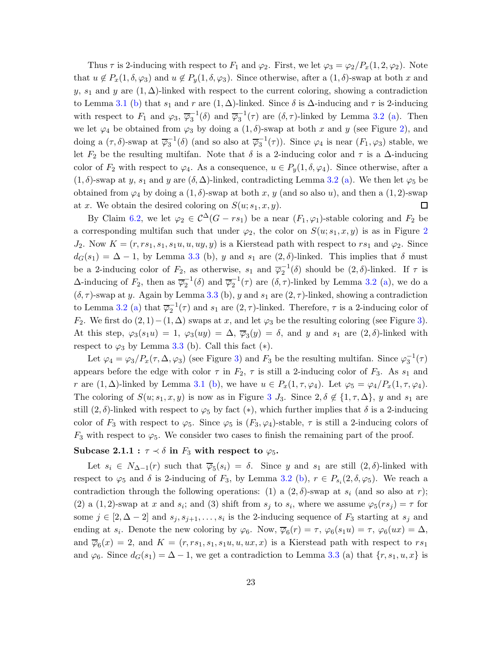Thus  $\tau$  is 2-inducing with respect to  $F_1$  and  $\varphi_2$ . First, we let  $\varphi_3 = \varphi_2/P_x(1, 2, \varphi_2)$ . Note that  $u \notin P_x(1, \delta, \varphi_3)$  and  $u \notin P_y(1, \delta, \varphi_3)$ . Since otherwise, after a  $(1, \delta)$ -swap at both x and y, s<sub>1</sub> and y are  $(1, \Delta)$ -linked with respect to the current coloring, showing a contradiction to Lemma [3.1](#page-5-0) [\(b\)](#page-5-1) that  $s_1$  and r are  $(1, \Delta)$ -linked. Since  $\delta$  is  $\Delta$ -inducing and  $\tau$  is 2-inducing with respect to  $F_1$  and  $\varphi_3$ ,  $\overline{\varphi_3}^{-1}(\delta)$  and  $\overline{\varphi_3}^{-1}(\tau)$  are  $(\delta, \tau)$ -linked by Lemma [3.2](#page-5-3) [\(a\)](#page-6-1). Then we let  $\varphi_4$  be obtained from  $\varphi_3$  by doing a  $(1, \delta)$ -swap at both x and y (see Figure [2\)](#page-21-0), and doing a  $(\tau, \delta)$ -swap at  $\overline{\varphi}_3^{-1}(\delta)$  (and so also at  $\overline{\varphi}_3^{-1}(\tau)$ ). Since  $\varphi_4$  is near  $(F_1, \varphi_3)$  stable, we let  $F_2$  be the resulting multifan. Note that  $\delta$  is a 2-inducing color and  $\tau$  is a  $\Delta$ -inducing color of  $F_2$  with respect to  $\varphi_4$ . As a consequence,  $u \in P_y(1, \delta, \varphi_4)$ . Since otherwise, after a  $(1, \delta)$ -swap at y, s<sub>1</sub> and y are  $(\delta, \Delta)$ -linked, contradicting Lemma [3.2](#page-5-3) [\(a\)](#page-6-1). We then let  $\varphi_5$  be obtained from  $\varphi_4$  by doing a  $(1, \delta)$ -swap at both x, y (and so also u), and then a  $(1, 2)$ -swap at x. We obtain the desired coloring on  $S(u; s_1, x, y)$ .  $\Box$ 

By Claim [6.2,](#page-21-1) we let  $\varphi_2 \in C^{\Delta}(G - rs_1)$  be a near  $(F_1, \varphi_1)$ -stable coloring and  $F_2$  be a corresponding multifan such that under  $\varphi_2$  $\varphi_2$ , the color on  $S(u; s_1, x, y)$  is as in Figure 2  $J_2$ . Now  $K = (r, rs_1, s_1, s_1, u, uy, y)$  is a Kierstead path with respect to  $rs_1$  and  $\varphi_2$ . Since  $d_G(s_1) = \Delta - 1$ , by Lemma [3.3](#page-6-2) (b), y and  $s_1$  are  $(2, \delta)$ -linked. This implies that  $\delta$  must be a 2-inducing color of  $F_2$ , as otherwise,  $s_1$  and  $\overline{\varphi}_2^{-1}(\delta)$  should be  $(2,\delta)$ -linked. If  $\tau$  is  $\Delta$ -inducing of  $F_2$ , then as  $\overline{\varphi}_2^{-1}(\delta)$  and  $\overline{\varphi}_2^{-1}(\tau)$  are  $(\delta, \tau)$ -linked by Lemma [3.2](#page-5-3) [\(a\)](#page-6-1), we do a  $(\delta, \tau)$ -swap at y. Again by Lemma [3.3](#page-6-2) (b), y and  $s_1$  are  $(2, \tau)$ -linked, showing a contradiction to Lemma [3.2](#page-5-3) [\(a\)](#page-6-1) that  $\overline{\varphi}_2^{-1}(\tau)$  and  $s_1$  are  $(2, \tau)$ -linked. Therefore,  $\tau$  is a 2-inducing color of F<sub>2</sub>. We first do  $(2, 1) - (1, \Delta)$  swaps at x, and let  $\varphi_3$  be the resulting coloring (see Figure [3\)](#page-23-0). At this step,  $\varphi_3(s_1u) = 1$ ,  $\varphi_3(uy) = \Delta$ ,  $\overline{\varphi}_3(y) = \delta$ , and y and  $s_1$  are  $(2,\delta)$ -linked with respect to  $\varphi_3$  by Lemma [3.3](#page-6-2) (b). Call this fact  $(*)$ .

Let  $\varphi_4 = \varphi_3/P_x(\tau, \Delta, \varphi_3)$  $\varphi_4 = \varphi_3/P_x(\tau, \Delta, \varphi_3)$  (see Figure 3) and  $F_3$  be the resulting multifan. Since  $\varphi_3^{-1}(\tau)$ appears before the edge with color  $\tau$  in  $F_2$ ,  $\tau$  is still a 2-inducing color of  $F_3$ . As  $s_1$  and r are  $(1, \Delta)$ -linked by Lemma [3.1](#page-5-0) [\(b\)](#page-5-1), we have  $u \in P_x(1, \tau, \varphi_4)$ . Let  $\varphi_5 = \varphi_4/P_x(1, \tau, \varphi_4)$ . The coloring of  $S(u; s_1, x, y)$  is now as in Figure [3](#page-23-0)  $J_3$ . Since  $2, \delta \notin \{1, \tau, \Delta\}$ , y and  $s_1$  are still  $(2, \delta)$ -linked with respect to  $\varphi_5$  by fact  $(*),$  which further implies that  $\delta$  is a 2-inducing color of  $F_3$  with respect to  $\varphi_5$ . Since  $\varphi_5$  is  $(F_3, \varphi_4)$ -stable,  $\tau$  is still a 2-inducing colors of  $F_3$  with respect to  $\varphi_5$ . We consider two cases to finish the remaining part of the proof.

#### <span id="page-22-0"></span>Subcase 2.1.1 :  $\tau \prec \delta$  in  $F_3$  with respect to  $\varphi_5$ .

Let  $s_i \in N_{\Delta-1}(r)$  such that  $\overline{\varphi}_5(s_i) = \delta$ . Since y and  $s_1$  are still  $(2,\delta)$ -linked with respect to  $\varphi_5$  and  $\delta$  is 2-inducing of  $F_3$ , by Lemma [3.2](#page-5-3) [\(b\)](#page-6-0),  $r \in P_{s_i}(2,\delta,\varphi_5)$ . We reach a contradiction through the following operations: (1) a  $(2, \delta)$ -swap at  $s_i$  (and so also at r); (2) a (1, 2)-swap at x and s<sub>i</sub>; and (3) shift from s<sub>j</sub> to s<sub>i</sub>, where we assume  $\varphi_5(rs_j) = \tau$  for some  $j \in [2, \Delta - 2]$  and  $s_j, s_{j+1}, \ldots, s_i$  is the 2-inducing sequence of  $F_3$  starting at  $s_j$  and ending at  $s_i$ . Denote the new coloring by  $\varphi_6$ . Now,  $\overline{\varphi}_6(r) = \tau$ ,  $\varphi_6(s_1u) = \tau$ ,  $\varphi_6(ux) = \Delta$ , and  $\overline{\varphi}_6(x) = 2$ , and  $K = (r, rs_1, s_1, s_1, u, u, u, x)$  is a Kierstead path with respect to  $rs_1$ and  $\varphi_6$ . Since  $d_G(s_1) = \Delta - 1$ , we get a contradiction to Lemma [3.3](#page-6-2) (a) that  $\{r, s_1, u, x\}$  is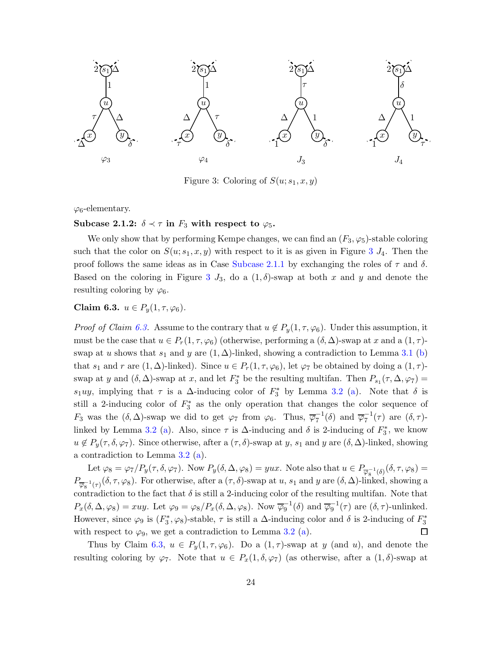

<span id="page-23-0"></span>Figure 3: Coloring of  $S(u; s_1, x, y)$ 

 $\varphi_6$ -elementary.

Subcase 2.1.2:  $\delta \prec \tau$  in  $F_3$  with respect to  $\varphi_5$ .

We only show that by performing Kempe changes, we can find an  $(F_3, \varphi_5)$ -stable coloring such that the color on  $S(u; s_1, x, y)$  with respect to it is as given in Figure [3](#page-23-0)  $J_4$ . Then the proof follows the same ideas as in Case [Subcase 2.1.1](#page-22-0) by exchanging the roles of  $τ$  and  $δ$ . Based on the coloring in Figure [3](#page-23-0)  $J_3$ , do a  $(1, \delta)$ -swap at both x and y and denote the resulting coloring by  $\varphi_6$ .

<span id="page-23-1"></span>Claim 6.3.  $u \in P_u(1, \tau, \varphi_6)$ .

*Proof of Claim [6.3.](#page-23-1)* Assume to the contrary that  $u \notin P_y(1, \tau, \varphi_6)$ . Under this assumption, it must be the case that  $u \in P_r(1,\tau,\varphi_6)$  (otherwise, performing a  $(\delta,\Delta)$ -swap at x and a  $(1,\tau)$ swap at u shows that  $s_1$  and y are  $(1, \Delta)$ -linked, showing a contradiction to Lemma [3.1](#page-5-0) [\(b\)](#page-5-1) that  $s_1$  and r are  $(1, \Delta)$ -linked). Since  $u \in P_r(1, \tau, \varphi_6)$ , let  $\varphi_7$  be obtained by doing a  $(1, \tau)$ swap at y and  $(\delta, \Delta)$ -swap at x, and let  $F_3^*$  be the resulting multifan. Then  $P_{s_1}(\tau, \Delta, \varphi_7)$  =  $s_1uy$ , implying that  $\tau$  is a  $\Delta$ -inducing color of  $F_3^*$  by Lemma [3.2](#page-5-3) [\(a\)](#page-6-1). Note that  $\delta$  is still a 2-inducing color of  $F_3^*$  as the only operation that changes the color sequence of  $F_3$  was the  $(\delta, \Delta)$ -swap we did to get  $\varphi_7$  from  $\varphi_6$ . Thus,  $\overline{\varphi}_7^{-1}(\delta)$  and  $\overline{\varphi}_7^{-1}(\tau)$  are  $(\delta, \tau)$ -linked by Lemma [3.2](#page-5-3) [\(a\)](#page-6-1). Also, since  $\tau$  is  $\Delta$ -inducing and  $\delta$  is 2-inducing of  $F_3^*$ , we know  $u \notin P_y(\tau, \delta, \varphi_7)$ . Since otherwise, after a  $(\tau, \delta)$ -swap at y, s<sub>1</sub> and y are  $(\delta, \Delta)$ -linked, showing a contradiction to Lemma [3.2](#page-5-3) [\(a\)](#page-6-1).

Let  $\varphi_8 = \varphi_7/P_y(\tau, \delta, \varphi_7)$ . Now  $P_y(\delta, \Delta, \varphi_8) = yux$ . Note also that  $u \in P_{\overline{\varphi_8}^{-1}(\delta)}(\delta, \tau, \varphi_8) =$  $P_{\overline{\varphi}_8^{-1}(\tau)}(\delta, \tau, \varphi_8)$ . For otherwise, after a  $(\tau, \delta)$ -swap at  $u$ ,  $s_1$  and  $y$  are  $(\delta, \Delta)$ -linked, showing a contradiction to the fact that  $\delta$  is still a 2-inducing color of the resulting multifan. Note that  $P_x(\delta, \Delta, \varphi_8) = xuy$ . Let  $\varphi_9 = \varphi_8/P_x(\delta, \Delta, \varphi_8)$ . Now  $\overline{\varphi_9}^{-1}(\delta)$  and  $\overline{\varphi_9}^{-1}(\tau)$  are  $(\delta, \tau)$ -unlinked. However, since  $\varphi_9$  is  $(F_3^*, \varphi_8)$ -stable,  $\tau$  is still a  $\Delta$ -inducing color and  $\delta$  is 2-inducing of  $F_3^*$ with respect to  $\varphi_9$ , we get a contradiction to Lemma [3.2](#page-5-3) [\(a\)](#page-6-1).  $\Box$ 

Thus by Claim [6.3,](#page-23-1)  $u \in P_y(1, \tau, \varphi_6)$ . Do a  $(1, \tau)$ -swap at y (and u), and denote the resulting coloring by  $\varphi_7$ . Note that  $u \in P_x(1, \delta, \varphi_7)$  (as otherwise, after a  $(1, \delta)$ -swap at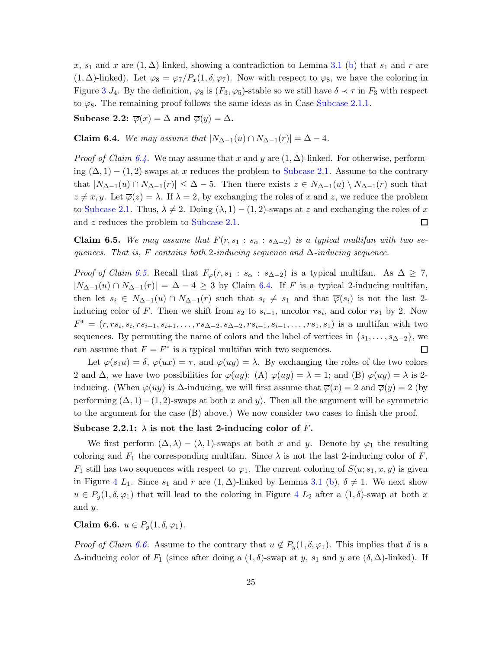x, s<sub>1</sub> and x are  $(1, \Delta)$ -linked, showing a contradiction to Lemma [3.1](#page-5-0) [\(b\)](#page-5-1) that s<sub>1</sub> and r are  $(1, \Delta)$ -linked). Let  $\varphi_8 = \varphi_7/P_x(1, \delta, \varphi_7)$ . Now with respect to  $\varphi_8$ , we have the coloring in Figure [3](#page-23-0)  $J_4$ . By the definition,  $\varphi_8$  is  $(F_3, \varphi_5)$ -stable so we still have  $\delta \prec \tau$  in  $F_3$  with respect to  $\varphi_8$ . The remaining proof follows the same ideas as in Case [Subcase 2.1.1.](#page-22-0)

Subcase 2.2:  $\overline{\varphi}(x) = \Delta$  and  $\overline{\varphi}(y) = \Delta$ .

<span id="page-24-0"></span>Claim 6.4. We may assume that  $|N_{\Delta-1}(u) \cap N_{\Delta-1}(r)| = \Delta - 4$ .

*Proof of Claim [6.4.](#page-24-0)* We may assume that x and y are  $(1, \Delta)$ -linked. For otherwise, performing  $(\Delta, 1) - (1, 2)$ -swaps at x reduces the problem to [Subcase 2.1.](#page-21-2) Assume to the contrary that  $|N_{\Delta-1}(u) \cap N_{\Delta-1}(r)| \leq \Delta - 5$ . Then there exists  $z \in N_{\Delta-1}(u) \setminus N_{\Delta-1}(r)$  such that  $z \neq x, y$ . Let  $\overline{\varphi}(z) = \lambda$ . If  $\lambda = 2$ , by exchanging the roles of x and z, we reduce the problem to [Subcase 2.1.](#page-21-2) Thus,  $\lambda \neq 2$ . Doing  $(\lambda, 1) - (1, 2)$ -swaps at z and exchanging the roles of x and z reduces the problem to [Subcase 2.1.](#page-21-2) □

<span id="page-24-1"></span>**Claim 6.5.** We may assume that  $F(r, s_1 : s_\alpha : s_{\Delta-2})$  is a typical multifan with two sequences. That is, F contains both 2-inducing sequence and  $\Delta$ -inducing sequence.

*Proof of Claim [6.5.](#page-24-1)* Recall that  $F_{\varphi}(r, s_1 : s_{\alpha} : s_{\Delta-2})$  is a typical multifan. As  $\Delta \geq 7$ ,  $|N_{\Delta-1}(u) \cap N_{\Delta-1}(r)| = \Delta - 4 \geq 3$  by Claim [6.4.](#page-24-0) If F is a typical 2-inducing multifan, then let  $s_i \in N_{\Delta-1}(u) \cap N_{\Delta-1}(r)$  such that  $s_i \neq s_1$  and that  $\overline{\varphi}(s_i)$  is not the last 2inducing color of F. Then we shift from  $s_2$  to  $s_{i-1}$ , uncolor  $rs_i$ , and color  $rs_1$  by 2. Now  $F^* = (r, rs_i, s_i, rs_{i+1}, s_{i+1}, \ldots, rs_{\Delta-2}, s_{\Delta-2}, rs_{i-1}, s_{i-1}, \ldots, rs_1, s_1)$  is a multifan with two sequences. By permuting the name of colors and the label of vertices in  $\{s_1, \ldots, s_{\Delta-2}\}\,$ , we can assume that  $F = F^*$  is a typical multifan with two sequences.  $\Box$ 

Let  $\varphi(s_1u) = \delta, \varphi(ux) = \tau$ , and  $\varphi(uy) = \lambda$ . By exchanging the roles of the two colors 2 and  $\Delta$ , we have two possibilities for  $\varphi(uy)$ : (A)  $\varphi(uy) = \lambda = 1$ ; and (B)  $\varphi(uy) = \lambda$  is 2inducing. (When  $\varphi(uy)$  is  $\Delta$ -inducing, we will first assume that  $\overline{\varphi}(x) = 2$  and  $\overline{\varphi}(y) = 2$  (by performing  $(\Delta, 1) - (1, 2)$ -swaps at both x and y). Then all the argument will be symmetric to the argument for the case (B) above.) We now consider two cases to finish the proof.

#### Subcase 2.2.1:  $\lambda$  is not the last 2-inducing color of F.

We first perform  $(\Delta, \lambda) - (\lambda, 1)$ -swaps at both x and y. Denote by  $\varphi_1$  the resulting coloring and  $F_1$  the corresponding multifan. Since  $\lambda$  is not the last 2-inducing color of F,  $F_1$  still has two sequences with respect to  $\varphi_1$ . The current coloring of  $S(u; s_1, x, y)$  is given in Figure [4](#page-25-0)  $L_1$ . Since  $s_1$  and r are  $(1, \Delta)$ -linked by Lemma [3.1](#page-5-0) [\(b\)](#page-5-1),  $\delta \neq 1$ . We next show  $u \in P_y(1, \delta, \varphi_1)$  that will lead to the coloring in Figure [4](#page-25-0)  $L_2$  after a  $(1, \delta)$ -swap at both x and y.

<span id="page-24-2"></span>Claim 6.6.  $u \in P_y(1, \delta, \varphi_1)$ .

*Proof of Claim [6.6.](#page-24-2)* Assume to the contrary that  $u \notin P_u(1, \delta, \varphi_1)$ . This implies that  $\delta$  is a  $\Delta$ -inducing color of  $F_1$  (since after doing a  $(1, \delta)$ -swap at y, s<sub>1</sub> and y are  $(\delta, \Delta)$ -linked). If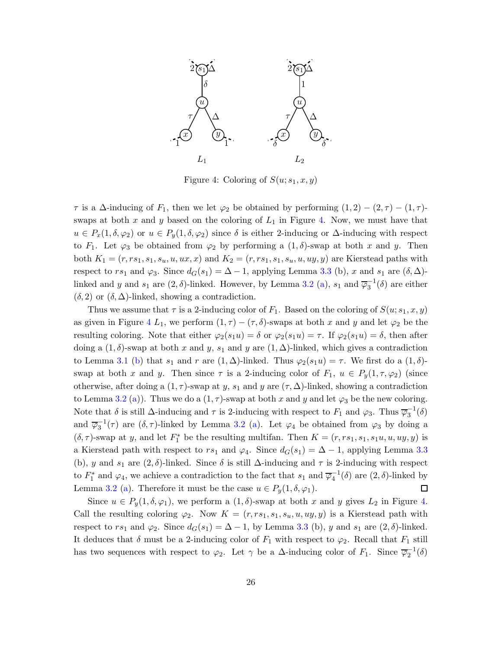

<span id="page-25-0"></span>Figure 4: Coloring of  $S(u; s_1, x, y)$ 

 $\tau$  is a  $\Delta$ -inducing of  $F_1$ , then we let  $\varphi_2$  be obtained by performing  $(1,2) - (2,\tau) - (1,\tau)$ swaps at both  $x$  and  $y$  based on the coloring of  $L_1$  in Figure [4.](#page-25-0) Now, we must have that  $u \in P_x(1, \delta, \varphi_2)$  or  $u \in P_y(1, \delta, \varphi_2)$  since  $\delta$  is either 2-inducing or  $\Delta$ -inducing with respect to  $F_1$ . Let  $\varphi_3$  be obtained from  $\varphi_2$  by performing a  $(1, \delta)$ -swap at both x and y. Then both  $K_1 = (r, rs_1, s_1, s_u, u, ux, x)$  and  $K_2 = (r, rs_1, s_1, s_u, u, uy, y)$  are Kierstead paths with respect to rs<sub>1</sub> and  $\varphi_3$ . Since  $d_G(s_1) = \Delta - 1$ , applying Lemma [3.3](#page-6-2) (b), x and s<sub>1</sub> are  $(\delta, \Delta)$ linked and y and  $s_1$  are  $(2, \delta)$ -linked. However, by Lemma [3.2](#page-5-3) [\(a\)](#page-6-1),  $s_1$  and  $\overline{\varphi}_3^{-1}(\delta)$  are either  $(\delta, 2)$  or  $(\delta, \Delta)$ -linked, showing a contradiction.

Thus we assume that  $\tau$  is a 2-inducing color of  $F_1$ . Based on the coloring of  $S(u; s_1, x, y)$ as given in Figure [4](#page-25-0)  $L_1$ , we perform  $(1, \tau) - (\tau, \delta)$ -swaps at both x and y and let  $\varphi_2$  be the resulting coloring. Note that either  $\varphi_2(s_1u) = \delta$  or  $\varphi_2(s_1u) = \tau$ . If  $\varphi_2(s_1u) = \delta$ , then after doing a  $(1, \delta)$ -swap at both x and y, s<sub>1</sub> and y are  $(1, \Delta)$ -linked, which gives a contradiction to Lemma [3.1](#page-5-0) [\(b\)](#page-5-1) that  $s_1$  and r are  $(1, \Delta)$ -linked. Thus  $\varphi_2(s_1u) = \tau$ . We first do a  $(1, \delta)$ swap at both x and y. Then since  $\tau$  is a 2-inducing color of  $F_1$ ,  $u \in P_y(1, \tau, \varphi_2)$  (since otherwise, after doing a  $(1, \tau)$ -swap at y, s<sub>1</sub> and y are  $(\tau, \Delta)$ -linked, showing a contradiction to Lemma [3.2](#page-5-3) [\(a\)](#page-6-1)). Thus we do a  $(1, \tau)$ -swap at both x and y and let  $\varphi_3$  be the new coloring. Note that  $\delta$  is still  $\Delta$ -inducing and  $\tau$  is 2-inducing with respect to  $F_1$  and  $\varphi_3$ . Thus  $\overline{\varphi_3}^{-1}(\delta)$ and  $\overline{\varphi}_3^{-1}(\tau)$  are  $(\delta, \tau)$ -linked by Lemma [3.2](#page-5-3) [\(a\)](#page-6-1). Let  $\varphi_4$  be obtained from  $\varphi_3$  by doing a  $(\delta, \tau)$ -swap at y, and let  $F_1^*$  be the resulting multifan. Then  $K = (r, rs_1, s_1, s_1u, u, uy, y)$  is a Kierstead path with respect to rs<sub>1</sub> and  $\varphi_4$ . Since  $d_G(s_1) = \Delta - 1$ , applying Lemma [3.3](#page-6-2) (b), y and s<sub>1</sub> are  $(2, \delta)$ -linked. Since  $\delta$  is still  $\Delta$ -inducing and  $\tau$  is 2-inducing with respect to  $F_1^*$  and  $\varphi_4$ , we achieve a contradiction to the fact that  $s_1$  and  $\overline{\varphi_4}^{-1}(\delta)$  are  $(2,\delta)$ -linked by Lemma [3.2](#page-5-3) [\(a\)](#page-6-1). Therefore it must be the case  $u \in P_y(1, \delta, \varphi_1)$ .  $\Box$ 

Since  $u \in P_u(1, \delta, \varphi_1)$ , we perform a  $(1, \delta)$ -swap at both x and y gives  $L_2$  in Figure [4.](#page-25-0) Call the resulting coloring  $\varphi_2$ . Now  $K = (r, rs_1, s_1, s_u, u, uy, y)$  is a Kierstead path with respect to rs<sub>1</sub> and  $\varphi_2$ . Since  $d_G(s_1) = \Delta - 1$ , by Lemma [3.3](#page-6-2) (b), y and s<sub>1</sub> are  $(2, \delta)$ -linked. It deduces that  $\delta$  must be a 2-inducing color of  $F_1$  with respect to  $\varphi_2$ . Recall that  $F_1$  still has two sequences with respect to  $\varphi_2$ . Let  $\gamma$  be a  $\Delta$ -inducing color of  $F_1$ . Since  $\overline{\varphi_2}^{-1}(\delta)$